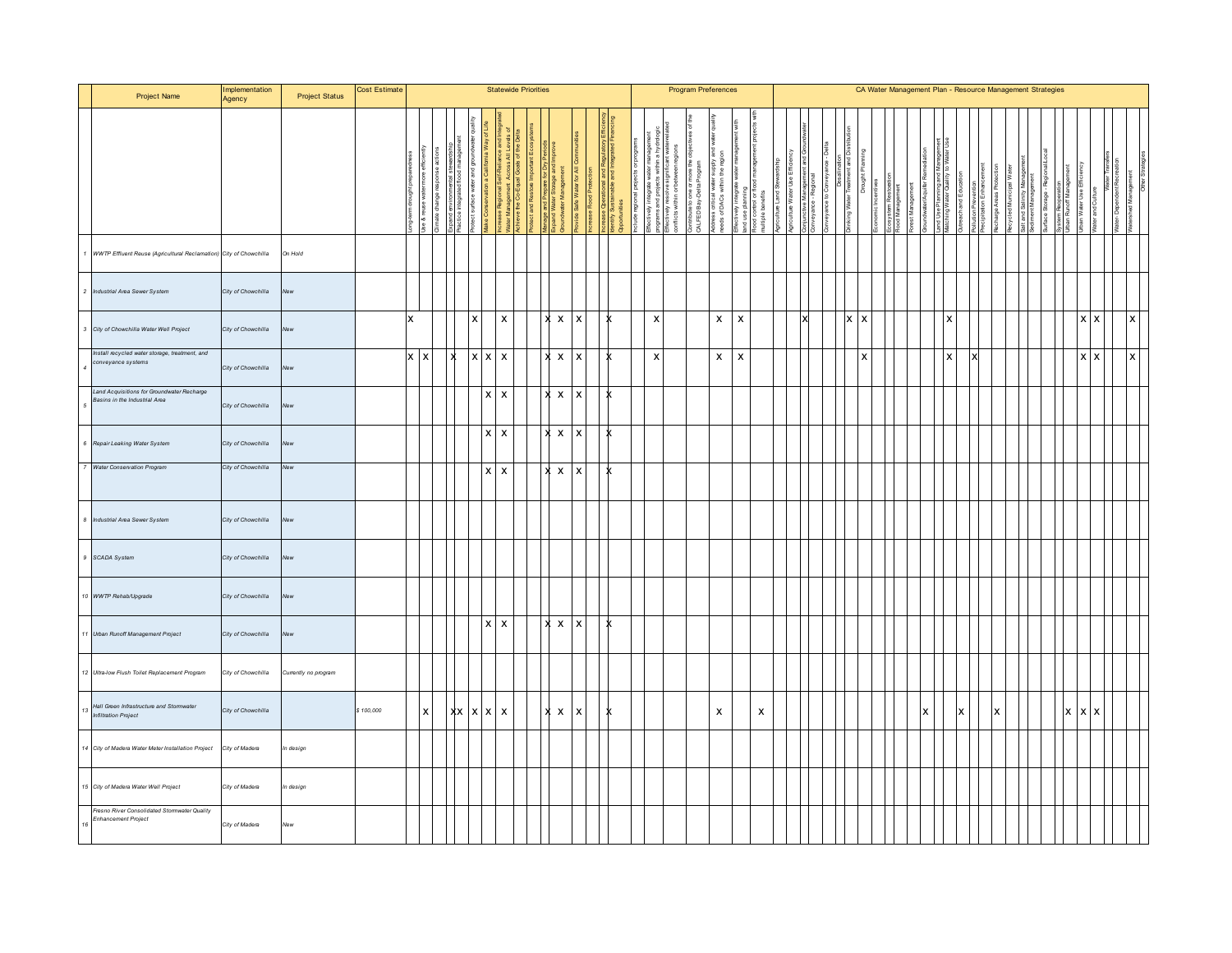|                 | Project Name                                                                | Implementation<br>Agency | <b>Project Status</b> | Cost Estimate |            |                 |                                  |          |                           |                        | <b>Statewide Priorities</b> |              |                           |                           |   |                                                   |       |                                    |                          | <b>Program Preferences</b>                   |                                            |                           |     |    |  |   |   |  |  |                           |              | CA Water Management Plan - Resource Management Strategies |  |  |            |                              |                                                |              |
|-----------------|-----------------------------------------------------------------------------|--------------------------|-----------------------|---------------|------------|-----------------|----------------------------------|----------|---------------------------|------------------------|-----------------------------|--------------|---------------------------|---------------------------|---|---------------------------------------------------|-------|------------------------------------|--------------------------|----------------------------------------------|--------------------------------------------|---------------------------|-----|----|--|---|---|--|--|---------------------------|--------------|-----------------------------------------------------------|--|--|------------|------------------------------|------------------------------------------------|--------------|
|                 |                                                                             |                          |                       |               |            |                 | np<br>ractice integrated flood m |          |                           | cross<br>Goalt<br>ater |                             |              | £                         |                           |   | nnoese oppea<br>Identify Sustain<br>Opportunities | maipa | resolv<br>fectively<br>anflicts wi | $\overline{5}$<br>within | $rac{8}{6}$<br>ontribute to c<br>ALFED Bay 4 | 言是<br>l water<br>within<br>ddress critical | ind use planning          | ffs |    |  |   |   |  |  |                           |              |                                                           |  |  | Runoff Man | Water Use Eff<br>and Culture | Water-Dependent Recre<br>Vater-Dependent Recre |              |
|                 | 1 WWTP Effluent Reuse (Agricultural Reclamation) City of Chowchilla         |                          | On Hold               |               |            |                 |                                  |          |                           |                        |                             |              |                           |                           |   |                                                   |       |                                    |                          |                                              |                                            |                           |     |    |  |   |   |  |  |                           |              |                                                           |  |  |            |                              |                                                |              |
|                 | 2 Industrial Area Sewer System                                              | City of Chowchilla       | New                   |               |            |                 |                                  |          |                           |                        |                             |              |                           |                           |   |                                                   |       |                                    |                          |                                              |                                            |                           |     |    |  |   |   |  |  |                           |              |                                                           |  |  |            |                              |                                                |              |
|                 | 3 City of Chowchilla Water Well Project                                     | City of Chowchilla       | New                   |               | x          |                 |                                  | <b>X</b> | $\boldsymbol{\mathsf{x}}$ |                        |                             | $X$ $X$      |                           | $\mathsf{x}$              |   |                                                   |       | $\pmb{\times}$                     |                          |                                              | $\mathsf{x}$                               | $\boldsymbol{\mathsf{x}}$ |     | ١v |  | x | x |  |  |                           |              |                                                           |  |  |            | X                            | $\boldsymbol{\mathsf{x}}$                      | x            |
|                 | Install recycled water storage, treatment, and<br>conveyance systems        | City of Chowchilla       | New                   |               | $x \mid x$ |                 |                                  |          | $x \mid x \mid x$         |                        |                             |              | $\boldsymbol{\mathsf{x}}$ | $\mathsf{x}$              |   |                                                   |       | $\pmb{\times}$                     |                          |                                              | $\mathsf{x}$                               | $\boldsymbol{\mathsf{x}}$ |     |    |  |   |   |  |  | $\boldsymbol{\mathsf{x}}$ |              |                                                           |  |  |            | $\mathsf{X}$<br>$\mathsf{x}$ |                                                | $\mathsf{x}$ |
|                 | Land Acquisitions for Groundwater Recharge<br>Basins in the Industrial Area | City of Chowchilla       | New                   |               |            |                 |                                  |          | $x \mid x$                |                        |                             | x            | $\mathsf{x}$              | $\mathsf{x}$              |   |                                                   |       |                                    |                          |                                              |                                            |                           |     |    |  |   |   |  |  |                           |              |                                                           |  |  |            |                              |                                                |              |
|                 | 6 Repair Leaking Water System                                               | City of Chowchilla       | New                   |               |            |                 |                                  |          | $x \mid x$                |                        |                             | X X          |                           | $\boldsymbol{\mathsf{x}}$ |   |                                                   |       |                                    |                          |                                              |                                            |                           |     |    |  |   |   |  |  |                           |              |                                                           |  |  |            |                              |                                                |              |
|                 | 7 Water Conservation Program                                                | City of Chowchilla       | New                   |               |            |                 |                                  |          | $x \mid x$                |                        |                             | $x \times x$ |                           |                           |   |                                                   |       |                                    |                          |                                              |                                            |                           |     |    |  |   |   |  |  |                           |              |                                                           |  |  |            |                              |                                                |              |
|                 | 8 Industrial Area Sewer System                                              | City of Chowchilla       | New                   |               |            |                 |                                  |          |                           |                        |                             |              |                           |                           |   |                                                   |       |                                    |                          |                                              |                                            |                           |     |    |  |   |   |  |  |                           |              |                                                           |  |  |            |                              |                                                |              |
|                 | 9 SCADA System                                                              | City of Chowchilla       | New                   |               |            |                 |                                  |          |                           |                        |                             |              |                           |                           |   |                                                   |       |                                    |                          |                                              |                                            |                           |     |    |  |   |   |  |  |                           |              |                                                           |  |  |            |                              |                                                |              |
|                 | 10 WWTP Rehab/Upgrade                                                       | City of Chowchilla       | New                   |               |            |                 |                                  |          |                           |                        |                             |              |                           |                           |   |                                                   |       |                                    |                          |                                              |                                            |                           |     |    |  |   |   |  |  |                           |              |                                                           |  |  |            |                              |                                                |              |
|                 | 11 Urban Runoff Management Project                                          | City of Chowchilla       | New                   |               |            |                 |                                  |          | $x \mid x$                |                        |                             | ×            | $\mathsf{x}$              | $\mathsf{x}$              |   |                                                   |       |                                    |                          |                                              |                                            |                           |     |    |  |   |   |  |  |                           |              |                                                           |  |  |            |                              |                                                |              |
|                 | 12 Ultra-low Flush Toilet Replacement Program                               | City of Chowchilla       | Currently no program  |               |            |                 |                                  |          |                           |                        |                             |              |                           |                           |   |                                                   |       |                                    |                          |                                              |                                            |                           |     |    |  |   |   |  |  |                           |              |                                                           |  |  |            |                              |                                                |              |
|                 | Hall Green Infrastructure and Stormwater<br>Infiltration Project            | City of Chowchilla       |                       | \$100,000     |            | $\vert x \vert$ | $XX$ $X$ $X$                     |          |                           |                        |                             |              | $x \times x$              |                           | ĸ |                                                   |       |                                    |                          |                                              | $\mathsf{x}$                               |                           | X   |    |  |   |   |  |  |                           | $\mathsf{x}$ | Ιx                                                        |  |  |            | $x \mid x \mid x$            |                                                |              |
|                 | 14 City of Madera Water Meter Installation Project                          | City of Madera           | In design             |               |            |                 |                                  |          |                           |                        |                             |              |                           |                           |   |                                                   |       |                                    |                          |                                              |                                            |                           |     |    |  |   |   |  |  |                           |              |                                                           |  |  |            |                              |                                                |              |
|                 | 15 City of Madera Water Well Project                                        | City of Madera           | In design             |               |            |                 |                                  |          |                           |                        |                             |              |                           |                           |   |                                                   |       |                                    |                          |                                              |                                            |                           |     |    |  |   |   |  |  |                           |              |                                                           |  |  |            |                              |                                                |              |
| 16 <sup>1</sup> | Fresno River Consolidated Stormwater Quality<br>Enhancement Project         | City of Madera           | New                   |               |            |                 |                                  |          |                           |                        |                             |              |                           |                           |   |                                                   |       |                                    |                          |                                              |                                            |                           |     |    |  |   |   |  |  |                           |              |                                                           |  |  |            |                              |                                                |              |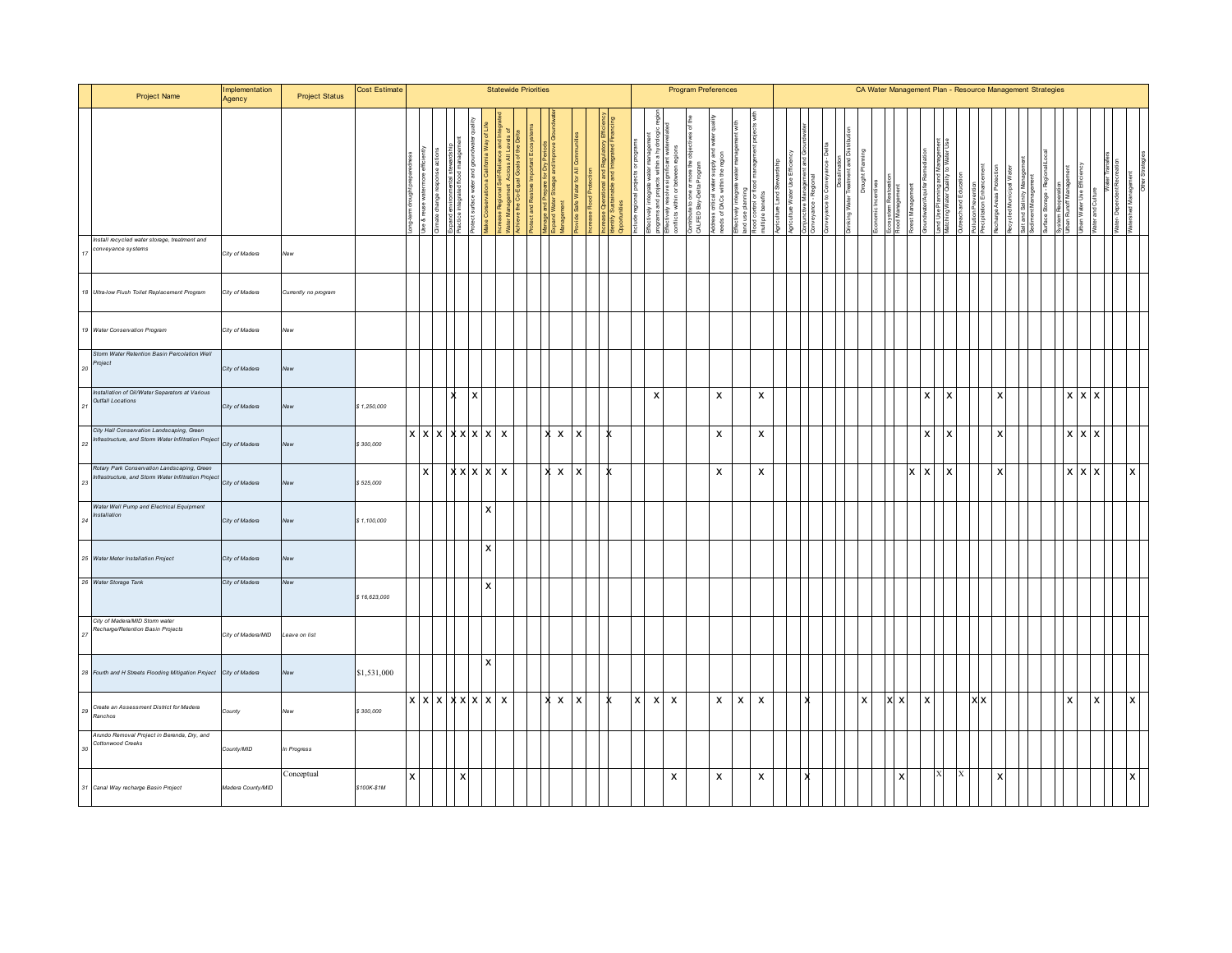| Project Name                                                                                       | Implementation<br>Agency | <b>Project Status</b> | Cost Estimate |   |                                        |           |                           | <b>Statewide Priorities</b> |  |              |                           |  |   |                           | <b>Program Preferences</b> |           |                                                                 |                           |                           |  |  |  |  |   |  |     |     |   | CA Water Management Plan - Resource Management Strategies |  |                   |                |  |   |  |
|----------------------------------------------------------------------------------------------------|--------------------------|-----------------------|---------------|---|----------------------------------------|-----------|---------------------------|-----------------------------|--|--------------|---------------------------|--|---|---------------------------|----------------------------|-----------|-----------------------------------------------------------------|---------------------------|---------------------------|--|--|--|--|---|--|-----|-----|---|-----------------------------------------------------------|--|-------------------|----------------|--|---|--|
|                                                                                                    |                          |                       |               |   |                                        |           |                           |                             |  |              |                           |  |   |                           | within<br>licts            | ALFED Bay | នីដី<br>l Tracer<br>Within<br>votess critical<br>eeds of DACs v |                           | €<br>elgi                 |  |  |  |  |   |  |     |     |   |                                                           |  | Use El<br>š       |                |  |   |  |
| Install recycled water storage, treatment and<br>conveyance systems                                | City of Madera           | New                   |               |   |                                        |           |                           |                             |  |              |                           |  |   |                           |                            |           |                                                                 |                           |                           |  |  |  |  |   |  |     |     |   |                                                           |  |                   |                |  |   |  |
| 18 Ultra-low Flush Toilet Replacement Program                                                      | City of Madera           | Currently no program  |               |   |                                        |           |                           |                             |  |              |                           |  |   |                           |                            |           |                                                                 |                           |                           |  |  |  |  |   |  |     |     |   |                                                           |  |                   |                |  |   |  |
| 19 Water Conservation Program                                                                      | City of Madera           | New                   |               |   |                                        |           |                           |                             |  |              |                           |  |   |                           |                            |           |                                                                 |                           |                           |  |  |  |  |   |  |     |     |   |                                                           |  |                   |                |  |   |  |
| Storm Water Retention Basin Percolation Well<br>Project                                            | City of Madera           | New                   |               |   |                                        |           |                           |                             |  |              |                           |  |   |                           |                            |           |                                                                 |                           |                           |  |  |  |  |   |  |     |     |   |                                                           |  |                   |                |  |   |  |
| Installation of Oil/Water Separators at Various<br><b>Outfall Locations</b>                        | City of Madera           | New                   | \$1,250,000   |   |                                        | Ιx        |                           |                             |  |              |                           |  |   | $\boldsymbol{\mathsf{x}}$ |                            |           | $\boldsymbol{\mathsf{x}}$                                       |                           | $\boldsymbol{\mathsf{x}}$ |  |  |  |  |   |  |     |     |   |                                                           |  | $x \mid x \mid x$ |                |  |   |  |
| City Hall Conservation Landscaping, Green<br>nfrastructure, and Storm Water Infiltration Project   | City of Madera           | New                   | \$300,000     |   | $x \mid x \mid x \mid x \mid x \mid x$ |           |                           | $\boldsymbol{\mathsf{x}}$   |  | $\mathsf{x}$ | $\boldsymbol{\mathsf{x}}$ |  |   |                           |                            |           | $\boldsymbol{\mathsf{x}}$                                       |                           | $\boldsymbol{\mathsf{x}}$ |  |  |  |  |   |  |     |     | Y |                                                           |  | $x \mid x \mid x$ |                |  |   |  |
| Rotary Park Conservation Landscaping, Green<br>nfrastructure, and Storm Water Infiltration Project | City of Madera           | New                   | \$525,000     |   |                                        | x x x x x |                           | $\mathbf{x}$                |  | $\mathsf{x}$ | $\boldsymbol{\mathsf{x}}$ |  |   |                           |                            |           | $\boldsymbol{\mathsf{x}}$                                       |                           | x                         |  |  |  |  | x |  | l x |     |   |                                                           |  | $x \mid x \mid x$ |                |  | x |  |
| Water Well Pump and Electrical Equipment<br>Installation                                           | City of Madera           | New                   | \$1,100,000   |   |                                        |           | $\boldsymbol{\mathsf{x}}$ |                             |  |              |                           |  |   |                           |                            |           |                                                                 |                           |                           |  |  |  |  |   |  |     |     |   |                                                           |  |                   |                |  |   |  |
| 25 Water Meter Installation Project                                                                | City of Madera           | New                   |               |   |                                        |           | $\mathsf{x}$              |                             |  |              |                           |  |   |                           |                            |           |                                                                 |                           |                           |  |  |  |  |   |  |     |     |   |                                                           |  |                   |                |  |   |  |
| 26 Water Storage Tank                                                                              | City of Madera           | New                   | \$16,623,000  |   |                                        |           | $\mathsf{x}$              |                             |  |              |                           |  |   |                           |                            |           |                                                                 |                           |                           |  |  |  |  |   |  |     |     |   |                                                           |  |                   |                |  |   |  |
| City of Madera/MID Storm water<br>Recharge/Retention Basin Projects                                | City of Madera/MID       | Leave on list         |               |   |                                        |           |                           |                             |  |              |                           |  |   |                           |                            |           |                                                                 |                           |                           |  |  |  |  |   |  |     |     |   |                                                           |  |                   |                |  |   |  |
| 28 Fourth and H Streets Flooding Mitigation Project City of Madera                                 |                          | New                   | \$1,531,000   |   |                                        |           | $\boldsymbol{\mathsf{x}}$ |                             |  |              |                           |  |   |                           |                            |           |                                                                 |                           |                           |  |  |  |  |   |  |     |     |   |                                                           |  |                   |                |  |   |  |
| 29 Create an Assessment District for Madera<br>Ranchos                                             | County                   | New                   | \$300,000     |   | x x x x x x                            |           |                           | $\boldsymbol{\mathsf{x}}$   |  | $\mathsf{x}$ | $\boldsymbol{\mathsf{x}}$ |  | X | $\boldsymbol{\mathsf{x}}$ | $\boldsymbol{\mathsf{x}}$  |           | $\boldsymbol{\mathsf{x}}$                                       | $\boldsymbol{\mathsf{x}}$ | X                         |  |  |  |  | x |  |     | (Ix |   |                                                           |  | l X               | $\pmb{\times}$ |  | x |  |
| Arundo Removal Project in Berenda, Dry, and<br>Cottonwood Creeks                                   | County/MID               | In Progress           |               |   |                                        |           |                           |                             |  |              |                           |  |   |                           |                            |           |                                                                 |                           |                           |  |  |  |  |   |  |     |     |   |                                                           |  |                   |                |  |   |  |
| 31 Canal Way recharge Basin Project                                                                | Madera County/MID        | Conceptual            | \$100K-\$1M   | x |                                        |           |                           |                             |  |              |                           |  |   |                           | x                          |           | x                                                               |                           | x                         |  |  |  |  |   |  |     |     |   |                                                           |  |                   |                |  |   |  |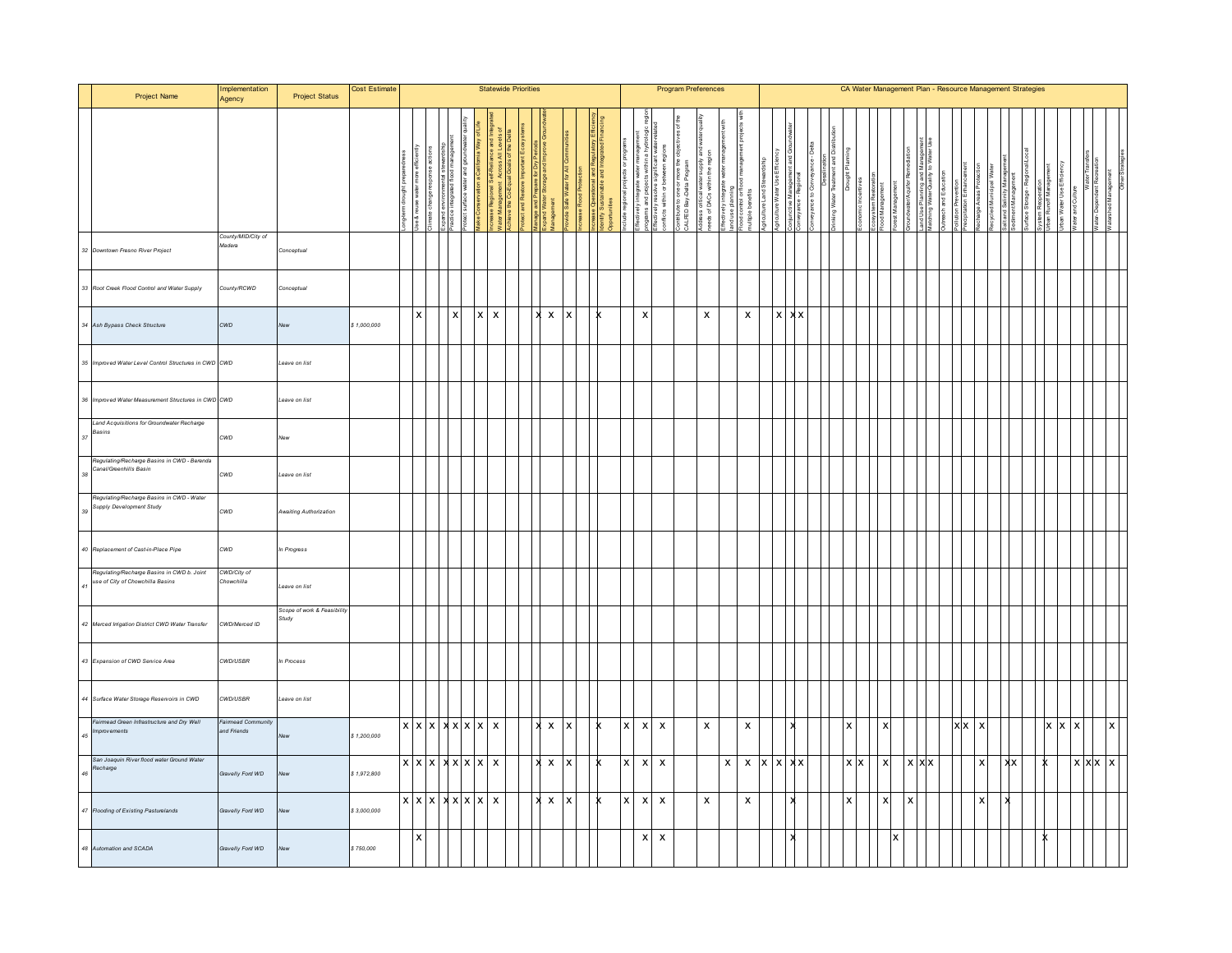|    | Project Name                                                                   | Implementation<br>Agency                 | <b>Project Status</b>                | Cost Estimate |                      |                           |              |          | <b>Statewide Priorities</b>                   |  |                                                            |                           |                                                                                                         |                           |                                                                                                                                  |                           | <b>Program Preferences</b>                                |                                                                |   |                                                                                                 |                      |          |                                        |                            |   |           |                           |         |              | CA Water Management Plan - Resource Management Strategies |       |  |  |     |   |              |              |  |
|----|--------------------------------------------------------------------------------|------------------------------------------|--------------------------------------|---------------|----------------------|---------------------------|--------------|----------|-----------------------------------------------|--|------------------------------------------------------------|---------------------------|---------------------------------------------------------------------------------------------------------|---------------------------|----------------------------------------------------------------------------------------------------------------------------------|---------------------------|-----------------------------------------------------------|----------------------------------------------------------------|---|-------------------------------------------------------------------------------------------------|----------------------|----------|----------------------------------------|----------------------------|---|-----------|---------------------------|---------|--------------|-----------------------------------------------------------|-------|--|--|-----|---|--------------|--------------|--|
|    |                                                                                |                                          |                                      |               | water<br>Jse & reuse |                           | integrated 1 |          | Water Management Ac<br>Achieve the Co-Equal G |  | ranage ano r-repare i<br>xpand Water Storage<br>lanagement |                           | '''∿'' <sup>caae O</sup> r <sup>oaau van anu rv<br/> dentfy Sustainable and Int<br/>Opportunities</sup> |                           | Effectively integrate water m<br>programs and projects within<br>Effectively resolve significal<br>conflicts within or between n |                           | Contribute to one or more the<br>CALFED Bay-Delta Program | šя<br>ã ≗<br>Address critical waters<br>needs of DACs within t |   | Effectively integrate was<br>land use planning<br>Flood control or flood m<br>multiple benefits | Agriculture Land Ste |          | Conjunctive Manag<br>Conveyance - Regi | <b>Drinking Water Trea</b> |   |           |                           | est Mar |              |                                                           |       |  |  |     |   |              |              |  |
|    | 32 Downtown Fresno River Project                                               | County/MID/City of<br>Madera             | Conceptual                           |               |                      |                           |              |          |                                               |  |                                                            |                           |                                                                                                         |                           |                                                                                                                                  |                           |                                                           |                                                                |   |                                                                                                 |                      |          |                                        |                            |   |           |                           |         |              |                                                           |       |  |  |     |   |              |              |  |
|    | 33 Root Creek Flood Control and Water Supply                                   | County/RCWD                              | Conceptual                           |               |                      |                           |              |          |                                               |  |                                                            |                           |                                                                                                         |                           |                                                                                                                                  |                           |                                                           |                                                                |   |                                                                                                 |                      |          |                                        |                            |   |           |                           |         |              |                                                           |       |  |  |     |   |              |              |  |
|    | 34 Ash Bypass Check Structure                                                  | CWD                                      | New                                  | \$1,000,000   |                      | $\mathsf{I} \mathsf{X}$   | $\mathsf{X}$ | <b>x</b> | $\boldsymbol{\mathsf{x}}$                     |  | X X                                                        |                           |                                                                                                         |                           | $\pmb{\mathsf{x}}$                                                                                                               |                           |                                                           | $\mathsf{x}$                                                   |   | $\mathsf{x}$                                                                                    |                      | $\times$ | xх                                     |                            |   |           |                           |         |              |                                                           |       |  |  |     |   |              |              |  |
|    | 35 Improved Water Level Control Structures in CWD CWD                          |                                          | Leave on list                        |               |                      |                           |              |          |                                               |  |                                                            |                           |                                                                                                         |                           |                                                                                                                                  |                           |                                                           |                                                                |   |                                                                                                 |                      |          |                                        |                            |   |           |                           |         |              |                                                           |       |  |  |     |   |              |              |  |
|    | 36 Improved Water Measurement Structures in CWD CWD                            |                                          | Leave on list                        |               |                      |                           |              |          |                                               |  |                                                            |                           |                                                                                                         |                           |                                                                                                                                  |                           |                                                           |                                                                |   |                                                                                                 |                      |          |                                        |                            |   |           |                           |         |              |                                                           |       |  |  |     |   |              |              |  |
|    | Land Acquisitions for Groundwater Recharge<br>$_{37}\enspace \textit{Basins}$  | CWD                                      | New                                  |               |                      |                           |              |          |                                               |  |                                                            |                           |                                                                                                         |                           |                                                                                                                                  |                           |                                                           |                                                                |   |                                                                                                 |                      |          |                                        |                            |   |           |                           |         |              |                                                           |       |  |  |     |   |              |              |  |
| 38 | Regulating/Recharge Basins in CWD - Berenda<br>Canal/Greenhills Basin          | CWD                                      | Leave on list                        |               |                      |                           |              |          |                                               |  |                                                            |                           |                                                                                                         |                           |                                                                                                                                  |                           |                                                           |                                                                |   |                                                                                                 |                      |          |                                        |                            |   |           |                           |         |              |                                                           |       |  |  |     |   |              |              |  |
|    | Regulating/Recharge Basins in CWD - Water<br>Supply Development Study          | CWD                                      | Awaiting Authorization               |               |                      |                           |              |          |                                               |  |                                                            |                           |                                                                                                         |                           |                                                                                                                                  |                           |                                                           |                                                                |   |                                                                                                 |                      |          |                                        |                            |   |           |                           |         |              |                                                           |       |  |  |     |   |              |              |  |
|    | 40 Replacement of Cast-in-Place Pipe                                           | CWD                                      | In Progress                          |               |                      |                           |              |          |                                               |  |                                                            |                           |                                                                                                         |                           |                                                                                                                                  |                           |                                                           |                                                                |   |                                                                                                 |                      |          |                                        |                            |   |           |                           |         |              |                                                           |       |  |  |     |   |              |              |  |
| 41 | Regulating/Recharge Basins in CWD b. Joint<br>use of City of Chowchilla Basins | CWD/City of<br>Chowchilla                | Leave on list                        |               |                      |                           |              |          |                                               |  |                                                            |                           |                                                                                                         |                           |                                                                                                                                  |                           |                                                           |                                                                |   |                                                                                                 |                      |          |                                        |                            |   |           |                           |         |              |                                                           |       |  |  |     |   |              |              |  |
|    | 42 Merced Irrigation District CWD Water Transfer                               | CWD/Merced ID                            | Scope of work & Feasibility<br>Study |               |                      |                           |              |          |                                               |  |                                                            |                           |                                                                                                         |                           |                                                                                                                                  |                           |                                                           |                                                                |   |                                                                                                 |                      |          |                                        |                            |   |           |                           |         |              |                                                           |       |  |  |     |   |              |              |  |
|    | 43 Expansion of CWD Service Area                                               | CWD/USBR                                 | In Process                           |               |                      |                           |              |          |                                               |  |                                                            |                           |                                                                                                         |                           |                                                                                                                                  |                           |                                                           |                                                                |   |                                                                                                 |                      |          |                                        |                            |   |           |                           |         |              |                                                           |       |  |  |     |   |              |              |  |
|    | 44 Surface Water Storage Reservoirs in CWD                                     | <b>CWD/USBR</b>                          | Leave on list                        |               |                      |                           |              |          |                                               |  |                                                            |                           |                                                                                                         |                           |                                                                                                                                  |                           |                                                           |                                                                |   |                                                                                                 |                      |          |                                        |                            |   |           |                           |         |              |                                                           |       |  |  |     |   |              |              |  |
|    | Fairmead Green Infrastructure and Dry Well<br>as <i>Improvements</i>           | <b>Fairmead Community</b><br>and Friends | New                                  | \$1,200,000   |                      | x  x  x  x  x  x  x       |              |          |                                               |  | X X                                                        | $\boldsymbol{\mathsf{x}}$ |                                                                                                         | $\boldsymbol{\mathsf{x}}$ |                                                                                                                                  | $X$ $X$                   |                                                           | $\boldsymbol{\mathsf{x}}$                                      |   | $\pmb{\mathsf{X}}$                                                                              |                      |          |                                        |                            | X |           | $\pmb{\times}$            |         |              |                                                           | x x x |  |  | X X | X |              | $\mathsf{x}$ |  |
|    | -<br>San Joaquin Riverflood water Ground Water<br>46<br>46                     | Gravelly Ford WD                         |                                      | \$1,972,800   |                      | x   x   x   x   x   x   x |              |          |                                               |  | x x                                                        |                           |                                                                                                         | X                         | $\boldsymbol{\mathsf{x}}$                                                                                                        | $\boldsymbol{\mathsf{x}}$ |                                                           |                                                                | x |                                                                                                 | $x \mathbf{x}$       |          | $X$ $X$                                |                            |   | <b>XX</b> | $\boldsymbol{\mathsf{x}}$ |         | <b>x x x</b> |                                                           | x     |  |  |     |   | $x \times x$ | <b>X</b>     |  |
|    | 47 Flooding of Existing Pasturelands                                           | Gravelly Ford WD                         | New                                  | \$3,000,000   |                      | x   x   x   x   x   x   x |              |          |                                               |  | x x                                                        |                           |                                                                                                         | $\boldsymbol{\mathsf{x}}$ |                                                                                                                                  | $x \mid x$                |                                                           | $\boldsymbol{\mathsf{x}}$                                      |   | $\pmb{\times}$                                                                                  |                      |          |                                        |                            | x |           | X                         |         |              |                                                           | X     |  |  |     |   |              |              |  |
|    | 48 Automation and SCADA                                                        | Gravelly Ford WD                         |                                      | \$750,000     |                      | 1x                        |              |          |                                               |  |                                                            |                           |                                                                                                         |                           | $\pmb{\times}$                                                                                                                   | $\pmb{\mathsf{x}}$        |                                                           |                                                                |   |                                                                                                 |                      |          |                                        |                            |   |           |                           |         |              |                                                           |       |  |  |     |   |              |              |  |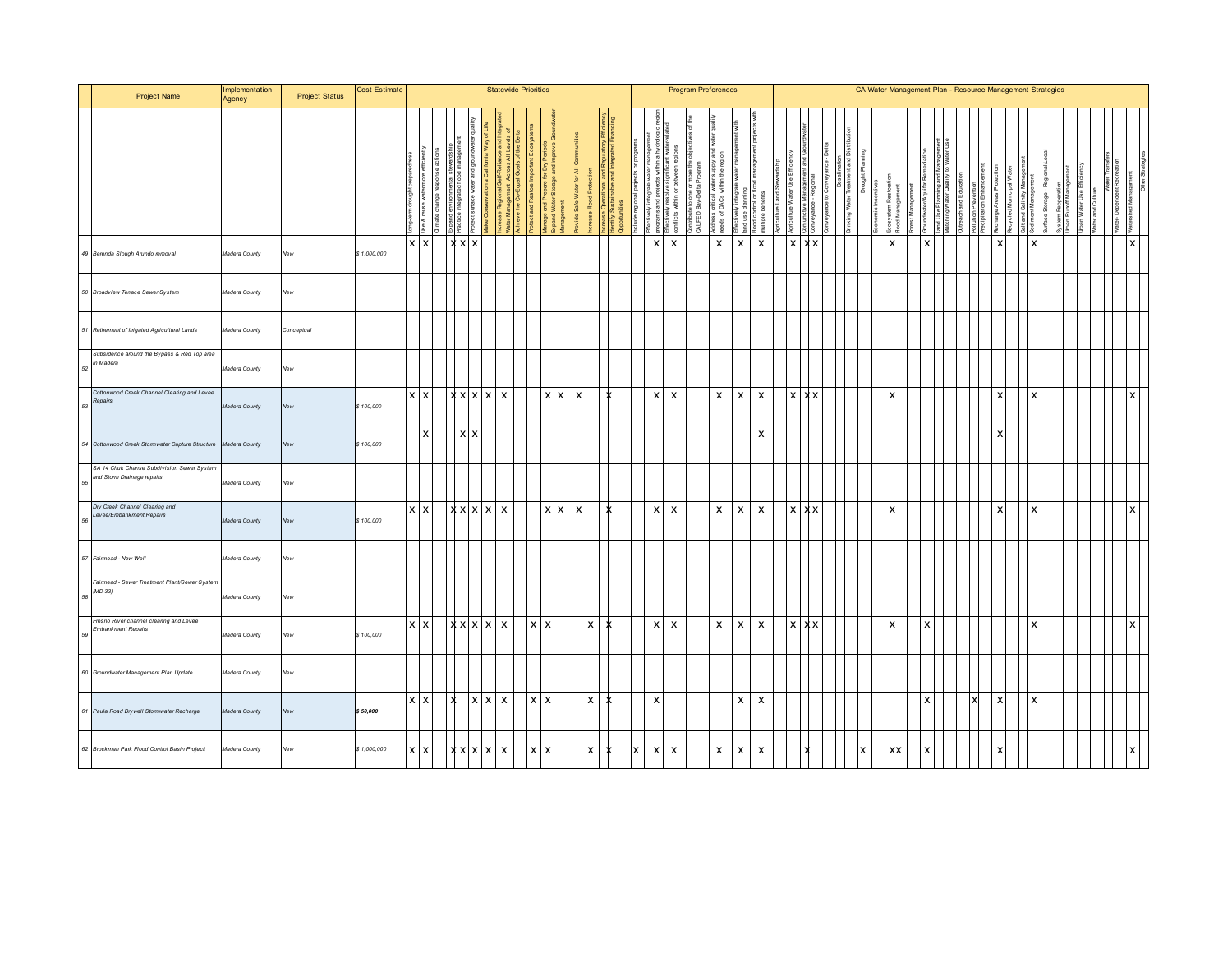|    | Project Name                                                             | Implementation<br>Agency | <b>Project Status</b> | <b>Cost Estimate</b> |                |              |    |              | <b>Statewide Priorities</b>                |                 |              |              |                           |          |      |   |                | <b>Program Preferences</b>                |               |                                                                    |              |                           |  |              |  |  |  |  |  | CA Water Management Plan - Resource Management Strategies |                           |  |        |  |              |  |
|----|--------------------------------------------------------------------------|--------------------------|-----------------------|----------------------|----------------|--------------|----|--------------|--------------------------------------------|-----------------|--------------|--------------|---------------------------|----------|------|---|----------------|-------------------------------------------|---------------|--------------------------------------------------------------------|--------------|---------------------------|--|--------------|--|--|--|--|--|-----------------------------------------------------------|---------------------------|--|--------|--|--------------|--|
|    |                                                                          |                          |                       |                      |                |              |    |              |                                            |                 |              |              |                           |          | ties |   |                | ā<br>within<br>Effectively<br>conflicts w | 凛<br>ÆD<br>ਵੋ | នី ភី<br>Transm<br>Within<br>Address critical v<br>reeds of DACs v |              | $\frac{16}{2}$            |  |              |  |  |  |  |  |                                                           |                           |  | i esn. |  |              |  |
|    | 49 Berenda Slough Arundo removal                                         | Madera County            | New                   | \$1,000,000          | $x \mathbf{X}$ |              |    | $x \times x$ |                                            |                 |              |              |                           |          |      |   | $\pmb{\times}$ | $\boldsymbol{\mathsf{x}}$                 |               | $\boldsymbol{\mathsf{x}}$                                          | $\mathsf{x}$ | $\pmb{\mathsf{X}}$        |  | $x \times x$ |  |  |  |  |  |                                                           |                           |  |        |  | X            |  |
|    | 50 Broadview Terrace Sewer System                                        | Madera County            | New                   |                      |                |              |    |              |                                            |                 |              |              |                           |          |      |   |                |                                           |               |                                                                    |              |                           |  |              |  |  |  |  |  |                                                           |                           |  |        |  |              |  |
|    | 51 Retirement of Irrigated Agricultural Lands                            | Madera County            | Conceptual            |                      |                |              |    |              |                                            |                 |              |              |                           |          |      |   |                |                                           |               |                                                                    |              |                           |  |              |  |  |  |  |  |                                                           |                           |  |        |  |              |  |
| 52 | Subsidence around the Bypass & Red Top area<br>in Madera                 | Madera County            | New                   |                      |                |              |    |              |                                            |                 |              |              |                           |          |      |   |                |                                           |               |                                                                    |              |                           |  |              |  |  |  |  |  |                                                           |                           |  |        |  |              |  |
| 53 | Cottonwood Creek Channel Clearing and Levee<br>Repairs                   | Madera County            | New                   | \$100,000            | $x \mid x$     |              |    |              | x x                                        |                 | ×            | $\mathsf{x}$ | $\boldsymbol{\mathsf{x}}$ |          |      |   | $\times$       | $\mathsf{x}$                              |               | $\mathsf{x}$                                                       | $\mathsf{x}$ | $\boldsymbol{\mathsf{x}}$ |  | $X$ $X$      |  |  |  |  |  |                                                           |                           |  |        |  | x            |  |
|    | 54 Cottonwood Creek Stormwater Capture Structure Madera County           |                          | New                   | \$100,000            |                | $\mathsf{X}$ |    | $x \times$   |                                            |                 |              |              |                           |          |      |   |                |                                           |               |                                                                    |              | $\boldsymbol{\mathsf{x}}$ |  |              |  |  |  |  |  |                                                           |                           |  |        |  |              |  |
| 55 | SA 14 Chuk Chanse Subdivision Sewer System<br>and Storm Drainage repairs | Madera County            | New                   |                      |                |              |    |              |                                            |                 |              |              |                           |          |      |   |                |                                           |               |                                                                    |              |                           |  |              |  |  |  |  |  |                                                           |                           |  |        |  |              |  |
| 56 | Dry Creek Channel Clearing and<br>Levee/Embankment Repairs               | Madera County            | New                   | \$100,000            | $X$ $X$        |              |    |              | $\overline{x}$ x $x$ x $\overline{x}$      |                 | $\mathbf{x}$ | $\mathsf{x}$ | $\mathsf{x}$              |          |      |   | $X$ $X$        |                                           |               | $\mathsf{x}$                                                       | X            | X                         |  | $X \times X$ |  |  |  |  |  |                                                           |                           |  |        |  | $\mathsf{x}$ |  |
|    | 57 Fairmead - New Well                                                   | Madera County            |                       |                      |                |              |    |              |                                            |                 |              |              |                           |          |      |   |                |                                           |               |                                                                    |              |                           |  |              |  |  |  |  |  |                                                           |                           |  |        |  |              |  |
| 58 | Fairmead - Sewer Treatment Plant/Sewer System<br>$(MD-33)$               | Madera County            | New                   |                      |                |              |    |              |                                            |                 |              |              |                           |          |      |   |                |                                           |               |                                                                    |              |                           |  |              |  |  |  |  |  |                                                           |                           |  |        |  |              |  |
| 59 | Fresno River channel clearing and Levee<br><b>Embankment Repairs</b>     | Madera County            | New                   | \$100,000            | <b>XX</b>      |              |    |              | $\overline{[x \times ]} \times   \times  $ | $x \mid x$      |              |              | lx I                      | x        |      |   | $X$ $X$        |                                           |               | $\mathsf{x}$                                                       | $\mathsf{x}$ | $\mathsf{x}$              |  | $x \times x$ |  |  |  |  |  |                                                           |                           |  |        |  | $\mathsf{x}$ |  |
|    | 60 Groundwater Management Plan Update                                    | Madera County            | New                   |                      |                |              |    |              |                                            |                 |              |              |                           |          |      |   |                |                                           |               |                                                                    |              |                           |  |              |  |  |  |  |  |                                                           |                           |  |        |  |              |  |
|    | 61 Paula Road Drywell Stormwater Recharge                                | Madera County            |                       | \$50,000             | <b>XX</b>      |              | lх |              | $X$ $X$ $X$                                | $x \rightarrow$ |              |              | $\mathsf{X}$              |          |      |   | $\pmb{\times}$ |                                           |               |                                                                    | $\mathsf{x}$ | $\boldsymbol{\mathsf{x}}$ |  |              |  |  |  |  |  | x                                                         | $\boldsymbol{\mathsf{x}}$ |  |        |  |              |  |
|    | 62 Brockman Park Flood Control Basin Project                             | Madera County            |                       | \$1,000,000          | $x \mid x$     |              |    |              | $ x $ $ x $ $x$                            | $\mathsf{x}$    |              |              | $\mathsf{X}$              | <b>x</b> |      | X | $x \mid x$     |                                           |               | $\mathsf{x}$                                                       | $\mathsf{x}$ | $\boldsymbol{\mathsf{x}}$ |  |              |  |  |  |  |  |                                                           |                           |  |        |  |              |  |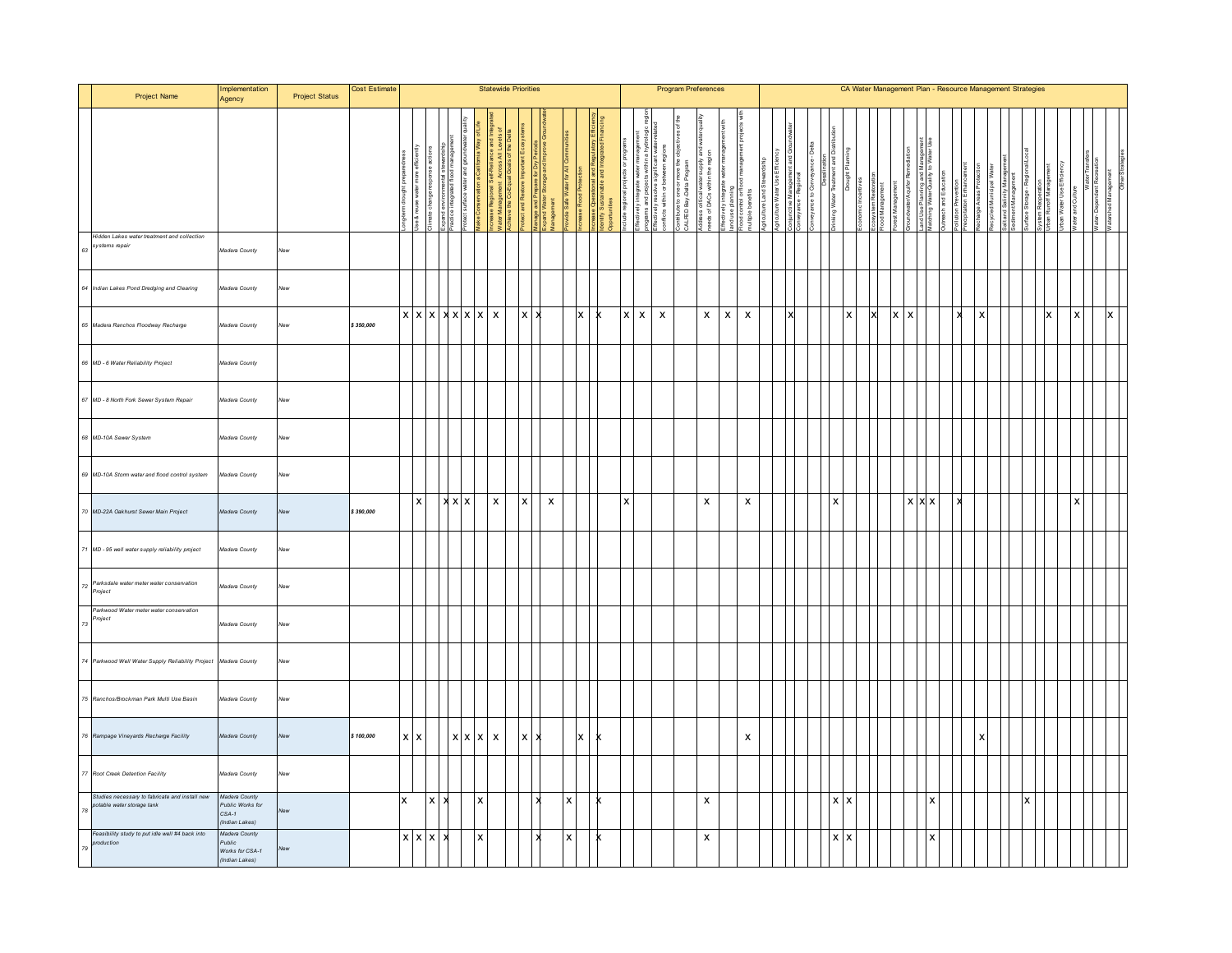|    | Project Name                                                                | Implementation<br>Agency                                     | <b>Project Status</b> | Cost Estimate |                                        |                    |              |                           | <b>Statewide Priorities</b>           |                           |                                                                |                                          |   |                               |                             |                                                       | <b>Program Preferences</b>                                          |                                              |                                                         |                           |                                                                                            |                 |  |            |                |   |                            | CA Water Management Plan - Resource Management Strategies |  |                           |  |  |                              |                         |   |  |
|----|-----------------------------------------------------------------------------|--------------------------------------------------------------|-----------------------|---------------|----------------------------------------|--------------------|--------------|---------------------------|---------------------------------------|---------------------------|----------------------------------------------------------------|------------------------------------------|---|-------------------------------|-----------------------------|-------------------------------------------------------|---------------------------------------------------------------------|----------------------------------------------|---------------------------------------------------------|---------------------------|--------------------------------------------------------------------------------------------|-----------------|--|------------|----------------|---|----------------------------|-----------------------------------------------------------|--|---------------------------|--|--|------------------------------|-------------------------|---|--|
|    |                                                                             |                                                              |                       |               |                                        |                    |              |                           | Vater Management<br>chieve the Co-Equ | rolect and Restore        | Aanage and Prepare for<br>Expand Water Storage a<br>Aanagement | ovide Safe Water for All<br>crease Flood |   | <b>Settimuddes</b><br>tentify | projects<br>volude regional | of the should bue suu aformation.<br>The summark with | Ť<br>more the<br>ś<br>: flectively resolve:<br>onflicts within or b | Contribute to one or m<br>CALFED Bay-Delta P | '≗<br>Address critical waters<br>needs of DACs within t |                           | ਾ∾∽ ਦਾ ਦਾ ਦਾ ਦਾ ਜਾਂਦਾ ਹੈ।<br>ਬਲd use planning<br>ਜੋ⊙d control or flox<br>nultiple benefits | griculture Land |  |            |                |   | <b>bundwate</b> if Aquifer | anu Ose Fiairiing and<br>fatching Water Quality           |  |                           |  |  | Runoff Manag<br>Water Use Ef | Vater and               |   |  |
|    | Hidden Lakes water treatment and collection<br>systems repair               | Madera County                                                | New                   |               |                                        |                    |              |                           |                                       |                           |                                                                |                                          |   |                               |                             |                                                       |                                                                     |                                              |                                                         |                           |                                                                                            |                 |  |            |                |   |                            |                                                           |  |                           |  |  |                              |                         |   |  |
|    | 64 Indian Lakes Pond Dredging and Clearing                                  | Madera County                                                | New                   |               |                                        |                    |              |                           |                                       |                           |                                                                |                                          |   |                               |                             |                                                       |                                                                     |                                              |                                                         |                           |                                                                                            |                 |  |            |                |   |                            |                                                           |  |                           |  |  |                              |                         |   |  |
|    | 65 Madera Ranchos Floodway Recharge                                         | Madera County                                                | New                   | \$350,000     | $x \mid x \mid x \mid x \mid x \mid x$ |                    |              |                           |                                       | x                         |                                                                | $\vert x \vert$                          | x |                               | $x \mid x$                  |                                                       | $\boldsymbol{\mathsf{x}}$                                           |                                              | $\pmb{\mathsf{X}}$                                      | $\boldsymbol{\mathsf{x}}$ | $\boldsymbol{\mathsf{x}}$                                                                  |                 |  |            | $\pmb{\times}$ | X | X                          |                                                           |  | $\pmb{\times}$            |  |  | x                            | $\mathsf{I} \mathsf{x}$ | X |  |
|    | 66 MD - 6 Water Reliability Project                                         | Madera County                                                |                       |               |                                        |                    |              |                           |                                       |                           |                                                                |                                          |   |                               |                             |                                                       |                                                                     |                                              |                                                         |                           |                                                                                            |                 |  |            |                |   |                            |                                                           |  |                           |  |  |                              |                         |   |  |
|    | 67 MD - 8 North Fork Sewer System Repair                                    | Madera County                                                | lew                   |               |                                        |                    |              |                           |                                       |                           |                                                                |                                          |   |                               |                             |                                                       |                                                                     |                                              |                                                         |                           |                                                                                            |                 |  |            |                |   |                            |                                                           |  |                           |  |  |                              |                         |   |  |
|    | 68 MD-10A Sewer System                                                      | Madera County                                                | New                   |               |                                        |                    |              |                           |                                       |                           |                                                                |                                          |   |                               |                             |                                                       |                                                                     |                                              |                                                         |                           |                                                                                            |                 |  |            |                |   |                            |                                                           |  |                           |  |  |                              |                         |   |  |
|    | 69 MD-10A Storm water and flood control system                              | Madera County                                                | New                   |               |                                        |                    |              |                           |                                       |                           |                                                                |                                          |   |                               |                             |                                                       |                                                                     |                                              |                                                         |                           |                                                                                            |                 |  |            |                |   |                            |                                                           |  |                           |  |  |                              |                         |   |  |
| 70 | MD-22A Oakhurst Sewer Main Project                                          | Madera County                                                | New                   | \$390,000     | $\boldsymbol{\mathsf{x}}$              |                    | $x \times x$ |                           | $\,$ X                                | $\boldsymbol{\mathsf{x}}$ | $\boldsymbol{\mathsf{X}}$                                      |                                          |   |                               | $\mathbf x$                 |                                                       |                                                                     |                                              | x                                                       |                           | x                                                                                          |                 |  | x          |                |   |                            | $X$ $X$                                                   |  |                           |  |  |                              |                         |   |  |
|    | MD - 95 well water supply reliability project                               | Madera County                                                | New                   |               |                                        |                    |              |                           |                                       |                           |                                                                |                                          |   |                               |                             |                                                       |                                                                     |                                              |                                                         |                           |                                                                                            |                 |  |            |                |   |                            |                                                           |  |                           |  |  |                              |                         |   |  |
|    | Parksdale water meter water conservation<br>Project                         | Madera County                                                | New                   |               |                                        |                    |              |                           |                                       |                           |                                                                |                                          |   |                               |                             |                                                       |                                                                     |                                              |                                                         |                           |                                                                                            |                 |  |            |                |   |                            |                                                           |  |                           |  |  |                              |                         |   |  |
| 73 | Parkwood Water meter water conservation<br>mject                            | Madera County                                                | New                   |               |                                        |                    |              |                           |                                       |                           |                                                                |                                          |   |                               |                             |                                                       |                                                                     |                                              |                                                         |                           |                                                                                            |                 |  |            |                |   |                            |                                                           |  |                           |  |  |                              |                         |   |  |
|    | 74 Parkwood Well Water Supply Reliability Project                           | Madera County                                                | New                   |               |                                        |                    |              |                           |                                       |                           |                                                                |                                          |   |                               |                             |                                                       |                                                                     |                                              |                                                         |                           |                                                                                            |                 |  |            |                |   |                            |                                                           |  |                           |  |  |                              |                         |   |  |
|    | 75 Ranchos/Brockman Park Multi Use Basin                                    | Madera County                                                | New                   |               |                                        |                    |              |                           |                                       |                           |                                                                |                                          |   |                               |                             |                                                       |                                                                     |                                              |                                                         |                           |                                                                                            |                 |  |            |                |   |                            |                                                           |  |                           |  |  |                              |                         |   |  |
|    | 76 Rampage Vineyards Recharge Facility                                      | Madera County                                                | New                   | \$100,000     | $x \mid x$                             |                    |              | $x \times x$              |                                       | $\pmb{\times}$            |                                                                | $\boldsymbol{\mathsf{x}}$                |   |                               |                             |                                                       |                                                                     |                                              |                                                         |                           | $\pmb{\mathsf{x}}$                                                                         |                 |  |            |                |   |                            |                                                           |  | $\boldsymbol{\mathsf{x}}$ |  |  |                              |                         |   |  |
|    | 77 Root Creek Detention Facility                                            | Madera County                                                | New                   |               |                                        |                    |              |                           |                                       |                           |                                                                |                                          |   |                               |                             |                                                       |                                                                     |                                              |                                                         |                           |                                                                                            |                 |  |            |                |   |                            |                                                           |  |                           |  |  |                              |                         |   |  |
| 78 | Studies necessary to fabricate and install new<br>otable water storage tank | Madera County<br>Public Works for<br>$CSA-1$<br>ndian Lakes) |                       |               | x                                      | $\pmb{\mathsf{x}}$ | x            | $\pmb{\times}$            |                                       |                           |                                                                | l x                                      |   |                               |                             |                                                       |                                                                     |                                              | x                                                       |                           |                                                                                            |                 |  | $x \mid x$ |                |   |                            | $\boldsymbol{\mathsf{x}}$                                 |  |                           |  |  |                              |                         |   |  |
|    | Feasibility study to put idle well #4 back into<br>oduction                 | Madera County<br>Public<br>Works for CSA-1<br>(Indian Lakes) | ew                    |               | $x \times x$                           |                    | ×            | $\boldsymbol{\mathsf{x}}$ |                                       |                           |                                                                | <b>x</b>                                 |   |                               |                             |                                                       |                                                                     |                                              | X                                                       |                           |                                                                                            |                 |  | $x \mid x$ |                |   |                            |                                                           |  |                           |  |  |                              |                         |   |  |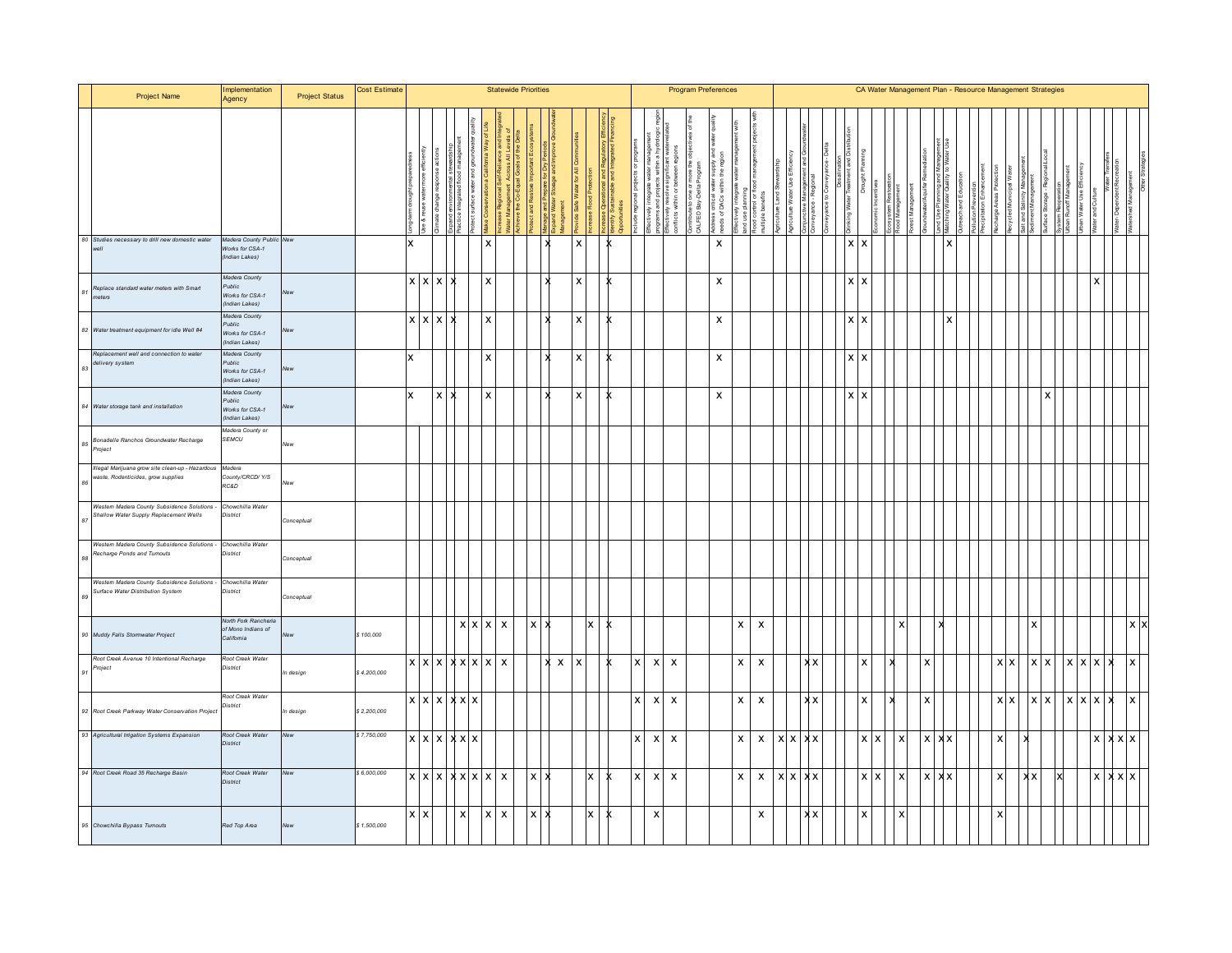| Project Name                                                                                  | Implementation<br>Agency                                      | <b>Project Status</b> | Cost Estimate |              |                   |                                 |                   | <b>Statewide Priorities</b>                 |                 |              |              | <b>Program Preferences</b><br>នី ៩ិ<br>ddress critical water<br>eeds of DACs within<br>$\overline{5}$<br>efits<br>within<br>â<br>ple be<br>ALFED<br>ic <sub>ts</sub><br>$\boldsymbol{\mathsf{x}}$<br>$\mathsf{x}$<br>$\mathsf X$<br>X<br>X |  |  |                    |                           |                           |  |                           |                           |                           |  |              |    |  |                           |    |   |   |  |      |  |            | CA Water Management Plan - Resource Management Strategies |    |                           |                           |               |                           |                    |            |
|-----------------------------------------------------------------------------------------------|---------------------------------------------------------------|-----------------------|---------------|--------------|-------------------|---------------------------------|-------------------|---------------------------------------------|-----------------|--------------|--------------|--------------------------------------------------------------------------------------------------------------------------------------------------------------------------------------------------------------------------------------------|--|--|--------------------|---------------------------|---------------------------|--|---------------------------|---------------------------|---------------------------|--|--------------|----|--|---------------------------|----|---|---|--|------|--|------------|-----------------------------------------------------------|----|---------------------------|---------------------------|---------------|---------------------------|--------------------|------------|
|                                                                                               |                                                               |                       |               |              |                   |                                 |                   |                                             |                 |              |              |                                                                                                                                                                                                                                            |  |  |                    |                           |                           |  |                           |                           |                           |  |              |    |  |                           |    |   |   |  | Wate |  |            |                                                           |    |                           |                           | ater Use Effi |                           |                    |            |
| 80 Studies necessary to drill new domestic water                                              | Madera County Public New<br>Works for CSA-1<br>(Indian Lakes) |                       |               | x            |                   |                                 |                   | $\overline{\mathbf{x}}$                     |                 | $\mathbf{x}$ |              |                                                                                                                                                                                                                                            |  |  |                    |                           |                           |  |                           |                           |                           |  |              |    |  | $x \mid x$                |    |   |   |  | l x  |  |            |                                                           |    |                           |                           |               |                           |                    |            |
| Replace standard water meters with Smart<br>neters                                            | Madera County<br>Public<br>Works for CSA-1<br>(Indian Lakes)  | <b>New</b>            |               | $x \times x$ |                   |                                 |                   | $\boldsymbol{\mathsf{x}}$                   |                 |              |              |                                                                                                                                                                                                                                            |  |  |                    |                           |                           |  |                           |                           |                           |  |              |    |  | $\boldsymbol{\mathsf{x}}$ | x  |   |   |  |      |  |            |                                                           |    |                           |                           |               | X                         |                    |            |
| 82 Water treatment equipment for idle Well #4                                                 | Madera County<br>Public<br>Works for CSA-1<br>(Indian Lakes   | <b>New</b>            |               | $X$ $X$ $X$  |                   |                                 |                   | X                                           |                 |              |              |                                                                                                                                                                                                                                            |  |  |                    |                           |                           |  | $\boldsymbol{\mathsf{x}}$ |                           |                           |  |              |    |  | <b>XX</b>                 |    |   |   |  |      |  |            |                                                           |    |                           |                           |               |                           |                    |            |
| Replacement well and connection to water<br>delivery system                                   | Madera County<br>Public<br>Works for CSA-1<br>(Indian Lakes   | New                   |               | x            |                   |                                 | X                 |                                             |                 |              |              | x                                                                                                                                                                                                                                          |  |  |                    |                           |                           |  | $\boldsymbol{\mathsf{x}}$ |                           |                           |  |              |    |  | $\mathsf{x}$              | x  |   |   |  |      |  |            |                                                           |    |                           |                           |               |                           |                    |            |
| 84 Water storage tank and installation                                                        | Madera County<br>Public<br>Works for CSA-1<br>(Indian Lakes   | New                   |               | x            | <b>X</b>          |                                 |                   | $\boldsymbol{\mathsf{x}}$                   |                 |              |              | X                                                                                                                                                                                                                                          |  |  |                    |                           |                           |  | $\pmb{\mathsf{x}}$        |                           |                           |  |              |    |  | $\mathsf{x}$              |    |   |   |  |      |  |            |                                                           |    |                           |                           |               |                           |                    |            |
| Bonadelle Ranchos Groundwater Recharge<br>mject                                               | Madera County or<br>SEMCU                                     | New                   |               |              |                   |                                 |                   |                                             |                 |              |              |                                                                                                                                                                                                                                            |  |  |                    |                           |                           |  |                           |                           |                           |  |              |    |  |                           |    |   |   |  |      |  |            |                                                           |    |                           |                           |               |                           |                    |            |
| Illegal Marijuana grow site clean-up - Hazardous Madera<br>waste, Rodenticides, grow supplies | County/CRCD/ Y/S<br>RC&D                                      | New                   |               |              |                   |                                 |                   |                                             |                 |              |              |                                                                                                                                                                                                                                            |  |  |                    |                           |                           |  |                           |                           |                           |  |              |    |  |                           |    |   |   |  |      |  |            |                                                           |    |                           |                           |               |                           |                    |            |
| Western Madera County Subsidence Solutions -<br>Shallow Water Supply Replacement Wells        | Chowchilla Water<br>District                                  | Conceptual            |               |              |                   |                                 |                   |                                             |                 |              |              |                                                                                                                                                                                                                                            |  |  |                    |                           |                           |  |                           |                           |                           |  |              |    |  |                           |    |   |   |  |      |  |            |                                                           |    |                           |                           |               |                           |                    |            |
| Western Madera County Subsidence Solutions - Chowchilla Water<br>Recharge Ponds and Turnouts  | District                                                      | Conceptual            |               |              |                   |                                 |                   |                                             |                 |              |              |                                                                                                                                                                                                                                            |  |  |                    |                           |                           |  |                           |                           |                           |  |              |    |  |                           |    |   |   |  |      |  |            |                                                           |    |                           |                           |               |                           |                    |            |
| Western Madera County Subsidence Solutions -<br>Surface Water Distribution System             | Chowchilla Water<br>District                                  | Conceptual            |               |              |                   |                                 |                   |                                             |                 |              |              |                                                                                                                                                                                                                                            |  |  |                    |                           |                           |  |                           |                           |                           |  |              |    |  |                           |    |   |   |  |      |  |            |                                                           |    |                           |                           |               |                           |                    |            |
| 90 Muddy Falls Stormwater Project                                                             | North Fork Rancheria<br>of Mono Indians of<br>California      | New                   | \$100,000     |              |                   |                                 | $x \mid x \mid x$ |                                             | $\vert x \vert$ |              |              |                                                                                                                                                                                                                                            |  |  |                    |                           |                           |  |                           | $\mathsf{x}$              | $\boldsymbol{\mathsf{x}}$ |  |              |    |  |                           |    |   | x |  |      |  |            |                                                           |    |                           |                           |               |                           |                    | $x \times$ |
| Root Creek Avenue 10 Intentional Recharge<br>Project                                          | Root Creek Water<br>District                                  | In design             | \$4,200,000   |              |                   | $x \mid x \mid x \mid x \mid x$ |                   | $\pmb{\mathsf{X}}$                          |                 |              | $\mathsf{x}$ | x                                                                                                                                                                                                                                          |  |  | $\pmb{\mathsf{x}}$ | $\boldsymbol{\mathsf{x}}$ | $\boldsymbol{\mathsf{x}}$ |  |                           | $\boldsymbol{\mathsf{x}}$ | $\pmb{\mathsf{x}}$        |  |              | xх |  |                           |    |   |   |  |      |  | <b>XX</b>  |                                                           | x  | l X                       | $\boldsymbol{\mathsf{x}}$ | l X           | $\boldsymbol{\mathsf{x}}$ | $\pmb{\mathsf{x}}$ |            |
| 92 Root Creek Parkway Water Conservation Project                                              | Root Creek Water<br>District                                  | In design             | \$2,200,000   |              | $x \mid x \mid x$ | X X X                           |                   |                                             |                 |              |              |                                                                                                                                                                                                                                            |  |  | x                  | $\boldsymbol{\mathsf{x}}$ | $\boldsymbol{\mathsf{x}}$ |  |                           | $\mathsf{x}$              | $\mathsf{x}$              |  |              | xх |  |                           |    |   |   |  |      |  | <b>XIX</b> |                                                           | ΙX | $\boldsymbol{\mathsf{x}}$ | <b>X</b>                  | <b>X</b>      | $\boldsymbol{\mathsf{x}}$ | x                  |            |
| 93 Agricultural Irrigation Systems Expansion                                                  | Root Creek Water<br>District                                  | New                   | \$7,750,000   |              |                   | x x x x x x                     |                   |                                             |                 |              |              |                                                                                                                                                                                                                                            |  |  | x                  | $\boldsymbol{\mathsf{x}}$ | $\boldsymbol{\mathsf{x}}$ |  |                           | $\mathsf{x}$              | $\mathsf{x}$              |  | $x \times x$ |    |  |                           | x. | x | X |  |      |  |            |                                                           |    |                           |                           |               | $\boldsymbol{x}$          | $x \times x$       |            |
| 94 Root Creek Road 35 Recharge Basin                                                          | Root Creek Water<br>District                                  | <b>New</b>            | \$6,000,000   |              | $x \times x$      |                                 | $x \times x$      | $\boldsymbol{\mathsf{x}}$                   | $\mathsf{X}$    |              |              |                                                                                                                                                                                                                                            |  |  | $\mathsf{x}$       | $\mathsf{x}$              | $\mathsf{x}$              |  |                           | $\pmb{\mathsf{X}}$        | X                         |  | <b>xxx</b>   |    |  |                           | x. | x | x |  |      |  |            |                                                           |    |                           |                           |               |                           | $x \times x$       |            |
| 95 Chowchilla Bypass Tumouts                                                                  | Red Top Area                                                  | <b>New</b>            | \$1,500,000   | $x \mid x$   |                   | $\boldsymbol{\mathsf{x}}$       |                   | $\pmb{\times}$<br>$\boldsymbol{\mathsf{x}}$ | $\mathsf{x}$    |              |              |                                                                                                                                                                                                                                            |  |  |                    | $\mathsf{x}$              |                           |  |                           |                           | x                         |  |              | xх |  |                           |    |   |   |  |      |  |            |                                                           |    |                           |                           |               |                           |                    |            |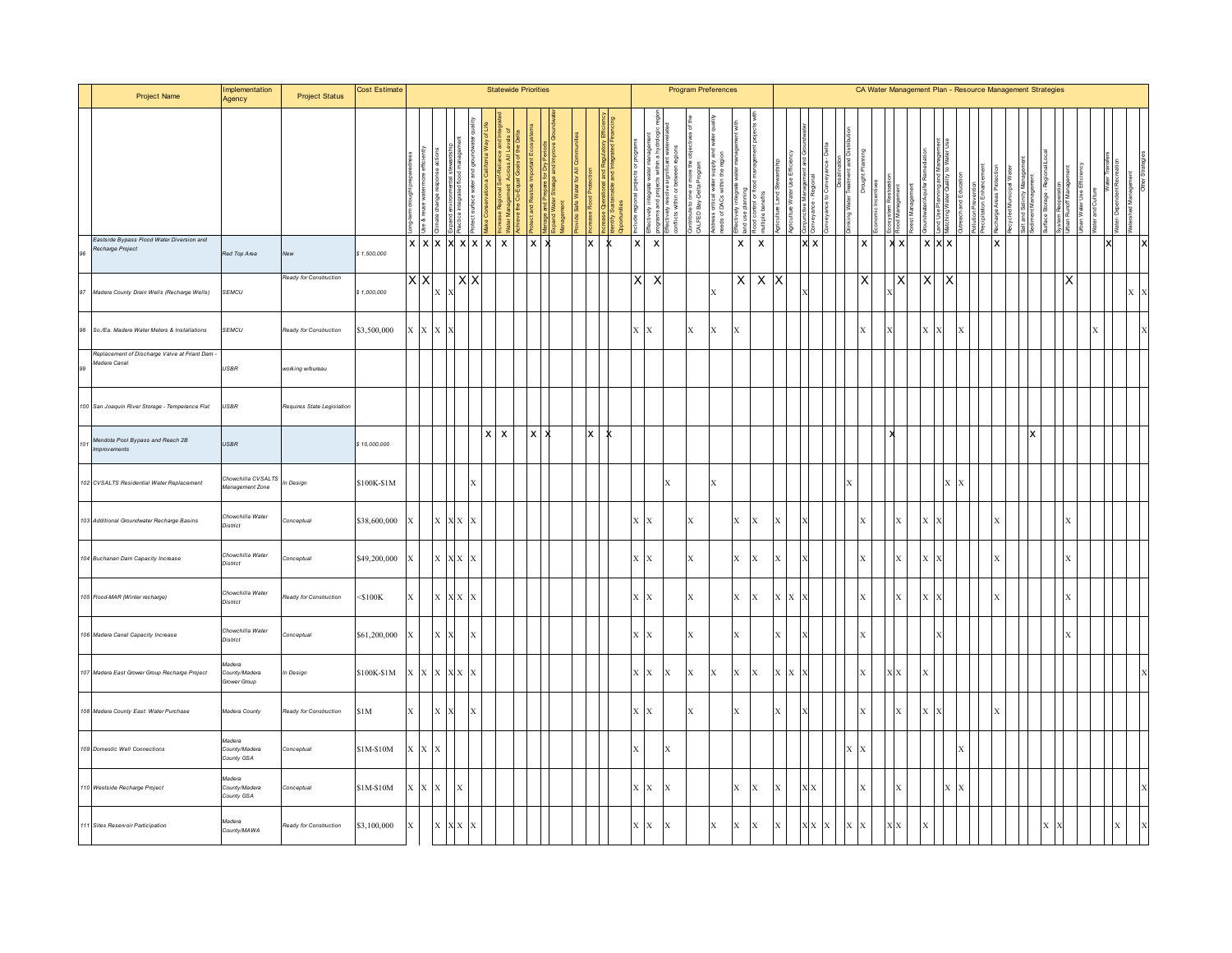|     | Project Name                                                   | Implementation<br>Agency                | <b>Project Status</b>      | Cost Estimate |              |             |                                              |             |                           | <b>Statewide Priorities</b> |                  |  |    |   |                  |                           |                        | <b>Program Preferences</b> |                                                        |              |                                          |     |     |  |              | CA Water Management Plan - Resource Management Strategies |              |              |         |   |   |  |                                        |  |  |  |
|-----|----------------------------------------------------------------|-----------------------------------------|----------------------------|---------------|--------------|-------------|----------------------------------------------|-------------|---------------------------|-----------------------------|------------------|--|----|---|------------------|---------------------------|------------------------|----------------------------|--------------------------------------------------------|--------------|------------------------------------------|-----|-----|--|--------------|-----------------------------------------------------------|--------------|--------------|---------|---|---|--|----------------------------------------|--|--|--|
|     |                                                                |                                         |                            |               |              |             |                                              |             |                           |                             |                  |  |    |   |                  | g                         | Σ<br>within<br>nflicts | Delta<br>CALFED Bay        | នី ៩ិ<br>votress critical water<br>eeds of DACs within |              | lood control or fic<br>hultiple benefits | m   |     |  |              |                                                           |              |              |         |   |   |  | ystem resuperation<br>Jiban Runoff Man |  |  |  |
| 96  | Eastside Bypass Flood Water Diversion and<br>Recharge Project  | Red Top Area                            | New                        | \$1,500,000   |              |             | x x x x x x                                  |             |                           |                             | $x \overline{)}$ |  | lx | k | $\boldsymbol{x}$ | $\pmb{\times}$            |                        |                            |                                                        | $\mathsf{x}$ | $\pmb{\mathsf{x}}$                       |     | x x |  | $\mathsf{X}$ |                                                           | $x \times$   |              | $X$ $X$ |   | x |  |                                        |  |  |  |
|     | 97 Madera County Drain Wells (Recharge Wells)                  | SEMCU                                   | Ready for Construction     | \$1,000,000   | ХX           |             | $\mathbf{X} \parallel \mathbf{X}$            | <b>XX</b>   |                           |                             |                  |  |    |   | X                | $\boldsymbol{\mathsf{X}}$ |                        |                            | $\mathbf x$                                            |              | X X X                                    |     |     |  | X.           |                                                           |              | ΙX           |         |   |   |  |                                        |  |  |  |
| 98  | So./Ea. Madera Water Meters & Installations                    | <b>SEMCU</b>                            | Ready for Construction     | \$3,500,000   |              | x x x x     |                                              |             |                           |                             |                  |  |    |   | $X$ $X$          |                           |                        | $\mathbf{x}$               | $\mathbf{x}$                                           | X            |                                          |     |     |  | $\mathbf{x}$ |                                                           |              | $\mathbf{x}$ |         | X |   |  |                                        |  |  |  |
| 99  | Replacement of Discharge Valve at Friant Dam -<br>Madera Canal | USBR                                    | working w/bureau           |               |              |             |                                              |             |                           |                             |                  |  |    |   |                  |                           |                        |                            |                                                        |              |                                          |     |     |  |              |                                                           |              |              |         |   |   |  |                                        |  |  |  |
|     | 100 San Joaquin River Storage - Temperance Flat                | USBR                                    | Requires State Legislation |               |              |             |                                              |             |                           |                             |                  |  |    |   |                  |                           |                        |                            |                                                        |              |                                          |     |     |  |              |                                                           |              |              |         |   |   |  |                                        |  |  |  |
| 101 | Mendota Pool Bypass and Reach 2B<br>Improvements               | USBR                                    |                            | \$10,000,000  |              |             |                                              |             | $\boldsymbol{\mathsf{x}}$ | X                           | $X$   $\lambda$  |  |    |   |                  |                           |                        |                            |                                                        |              |                                          |     |     |  |              |                                                           |              |              |         |   |   |  |                                        |  |  |  |
|     | 102 CVSALTS Residential Water Replacement                      | Chowchilla CVSALTS<br>Management Zone   | In Design                  | \$100K-\$1M   |              |             |                                              |             |                           |                             |                  |  |    |   |                  |                           | $\mathbf x$            |                            | $\mathbf{x}$                                           |              |                                          |     |     |  |              |                                                           |              |              |         |   |   |  |                                        |  |  |  |
|     | 103 Additional Groundwater Recharge Basins                     | Chowchilla Water<br>District            | Conceptual                 | \$38,600,000  |              |             | $\mathbf{X} \parallel \mathbf{X} \mathbf{X}$ | ΙX          |                           |                             |                  |  |    |   | $X$ $X$          |                           |                        | X                          |                                                        | X            | $\mathbf{x}$                             |     |     |  |              |                                                           | X            |              |         |   |   |  |                                        |  |  |  |
|     | 104 Buchanan Dam Capacity Increase                             | Chowchilla Water<br>District            | Conceptual                 | \$49,200,000  |              |             | $\mathbf{X} \parallel \mathbf{X} \mathbf{X}$ | $\mathbf x$ |                           |                             |                  |  |    |   | $X$ $X$          |                           |                        | $\mathbf{x}$               |                                                        |              | x Ix                                     |     |     |  |              |                                                           | $\mathbf{x}$ |              |         |   |   |  |                                        |  |  |  |
|     | 105 Flood-MAR (Winter recharge)                                | Chowchilla Water<br>District            | Ready for Construction     | $<$ \$100K    | X            |             | $\mathbf{X} \parallel \mathbf{X} \mathbf{X}$ |             |                           |                             |                  |  |    |   | $X$ $X$          |                           |                        | $\mathbf x$                |                                                        |              | $X$ $X$                                  | X X |     |  |              |                                                           | X            |              |         |   |   |  |                                        |  |  |  |
|     | 106 Madera Canal Capacity Increase                             | Chowchilla Water<br>District            | Conceptual                 | \$61,200,000  | X.           |             | X X                                          | X           |                           |                             |                  |  |    |   | $X$ $X$          |                           |                        | $\mathbf x$                |                                                        | $\mathbf{x}$ |                                          | X   |     |  |              |                                                           |              |              |         |   |   |  |                                        |  |  |  |
|     | 107 Madera East Grower Group Recharge Project                  | Madera<br>County/Madera<br>Grower Group | n Design                   | \$100K-\$1M   |              |             | x x x x x                                    |             |                           |                             |                  |  |    |   | $X - X$          |                           | $\mathbf x$            | $\mathbf{x}$               | $\mathbf x$                                            | X            | X                                        | X X |     |  |              |                                                           | XХ           |              |         |   |   |  |                                        |  |  |  |
|     | 108 Madera County East: Water Purchase                         | Madera County                           | Ready for Construction     | \$1M          | $\mathbf{X}$ |             | $X$ $X$                                      |             |                           |                             |                  |  |    |   | $X$ $X$          |                           |                        | $\mathbf{X}$               |                                                        | X            |                                          |     |     |  |              |                                                           | $\mathbf x$  |              |         |   |   |  |                                        |  |  |  |
|     | 109 Domestic Well Connections                                  | Madera<br>County/Madera<br>County GSA   | Conceptual                 | \$1M-\$10M    |              | $X$ $X$ $X$ |                                              |             |                           |                             |                  |  |    |   | $\mathbf{x}$     |                           | X                      |                            |                                                        |              |                                          |     |     |  |              |                                                           |              |              |         |   |   |  |                                        |  |  |  |
|     | 110 Westside Recharge Project                                  | Madera<br>County/Madera<br>County GSA   | Conceptual                 | \$1M-\$10M    | X X X        |             | $\mathbf x$                                  |             |                           |                             |                  |  |    |   | $X$ $X$          |                           | $\mathbf x$            |                            |                                                        | X            | $\mathbf{x}$                             |     | xх  |  |              |                                                           |              |              |         |   |   |  |                                        |  |  |  |
|     | 111 Sites Reservoir Participation                              | Madera<br>County/MAWA                   | Ready for Construction     | \$3,100,000   |              |             | ¢Χ                                           |             |                           |                             |                  |  |    |   | $X$ $X$          |                           | $\mathbf x$            |                            | X                                                      | X            |                                          |     |     |  |              |                                                           |              |              |         |   |   |  |                                        |  |  |  |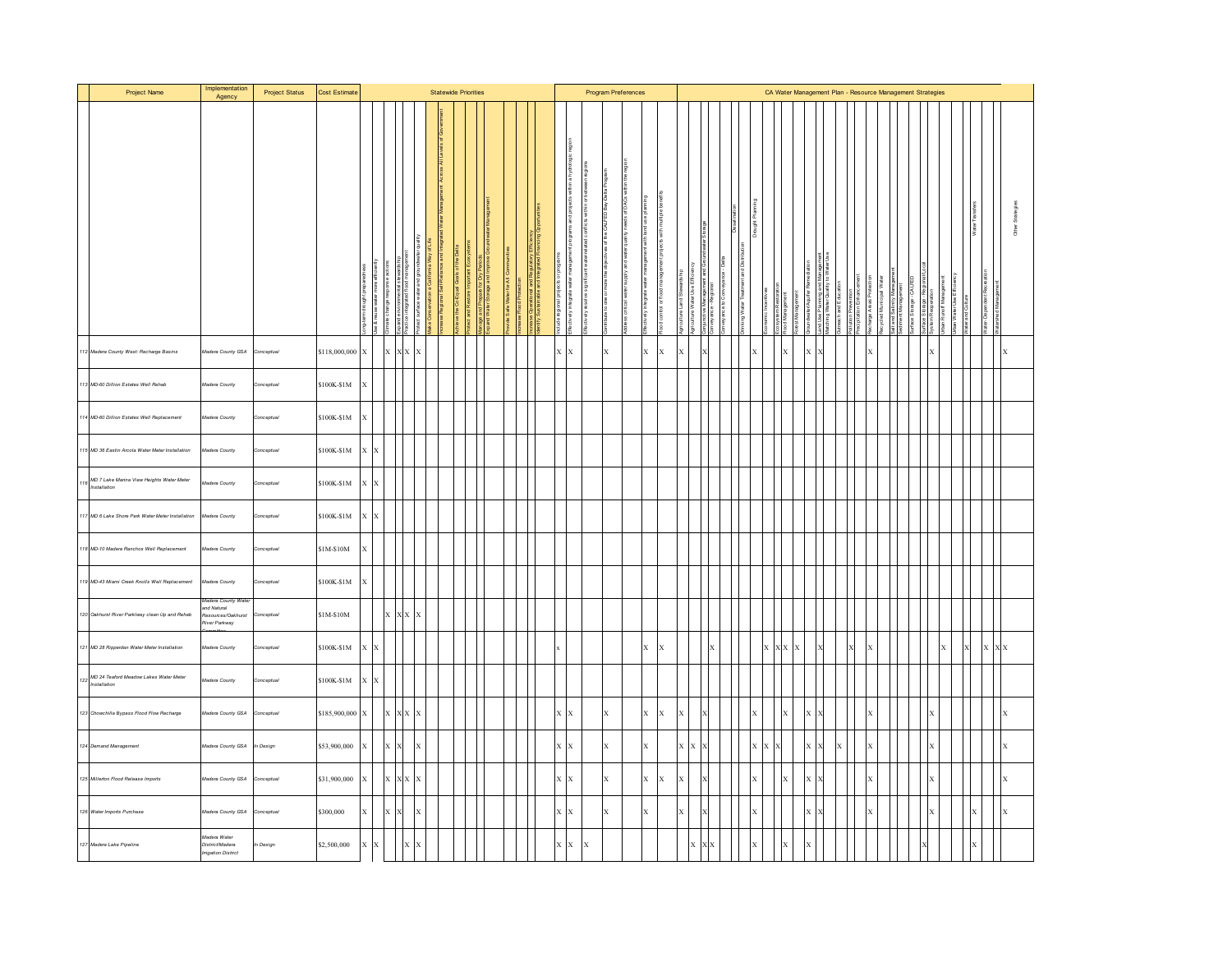| Project Name                                              | Implementation<br>Agency                             | <b>Project Status</b> | Cost Estimate |                |              |                         |              | <b>Statewide Priorities</b> |  |            |  |             |                                   |   | Program Preferences |              |              |                          |              |  |  |    |         |                      |              |    |  |          |  | CA Water Management Plan - Resource Management Strategies |                        |             |              |             |         |          |  |
|-----------------------------------------------------------|------------------------------------------------------|-----------------------|---------------|----------------|--------------|-------------------------|--------------|-----------------------------|--|------------|--|-------------|-----------------------------------|---|---------------------|--------------|--------------|--------------------------|--------------|--|--|----|---------|----------------------|--------------|----|--|----------|--|-----------------------------------------------------------|------------------------|-------------|--------------|-------------|---------|----------|--|
|                                                           |                                                      |                       |               |                |              |                         |              |                             |  | pand Water |  | ntily Susta | ectively                          |   |                     |              |              |                          |              |  |  |    |         | anayawan<br>ood Mana |              |    |  |          |  |                                                           | rature United          |             | Water Transf |             |         |          |  |
| 112 Madera County West: Recharge Basins                   | Madera County GSA                                    | Conceptual            | \$118,000,000 | $\mathbf{x}$   | <b>IX</b>    |                         | x x x        |                             |  |            |  |             | $X$ $X$                           |   |                     | $\mathbf{x}$ |              | $\mathbf{x}$<br>$\bf{x}$ | X.           |  |  |    |         | $\mathbf x$          |              |    |  | <b>X</b> |  |                                                           | $\lambda$              |             |              |             |         | X        |  |
| 113 MD-60 Dillion Estates Well Rehab                      | Madera County                                        | Conceptual            | \$100K-\$1M   | X              |              |                         |              |                             |  |            |  |             |                                   |   |                     |              |              |                          |              |  |  |    |         |                      |              |    |  |          |  |                                                           |                        |             |              |             |         |          |  |
| 14 MD-60 Dillion Estates Well Replacement                 | Madera County                                        | Conceptual            | \$100K-\$1M   | X              |              |                         |              |                             |  |            |  |             |                                   |   |                     |              |              |                          |              |  |  |    |         |                      |              |    |  |          |  |                                                           |                        |             |              |             |         |          |  |
| 115 MD 36 Eastin Arcola Water Meter Installation          | Madera County                                        | Conceptual            | \$100K-\$1M   | $X$ $X$        |              |                         |              |                             |  |            |  |             |                                   |   |                     |              |              |                          |              |  |  |    |         |                      |              |    |  |          |  |                                                           |                        |             |              |             |         |          |  |
| MD 7 Lake Marina View Heights Water Meter<br>Installation | Madera County                                        | Conceptual            | \$100K-\$1M   | $x \mathbf{x}$ |              |                         |              |                             |  |            |  |             |                                   |   |                     |              |              |                          |              |  |  |    |         |                      |              |    |  |          |  |                                                           |                        |             |              |             |         |          |  |
| 117 MD 6 Lake Shore Park Water Meter Installation         | Madera County                                        | Conceptual            | \$100K-\$1M   | $X$ $X$        |              |                         |              |                             |  |            |  |             |                                   |   |                     |              |              |                          |              |  |  |    |         |                      |              |    |  |          |  |                                                           |                        |             |              |             |         |          |  |
| 118 MD-10 Madera Ranchos Well Replacement                 | Madera County                                        | Conceptual            | \$1M-\$10M    | $\bf{x}$       |              |                         |              |                             |  |            |  |             |                                   |   |                     |              |              |                          |              |  |  |    |         |                      |              |    |  |          |  |                                                           |                        |             |              |             |         |          |  |
| 19 MD-43 Miami Creek Knolls Well Replacement              | fadera County<br>fadera County Wa                    | onceptual             | \$100K-\$1M   | X              |              |                         |              |                             |  |            |  |             |                                   |   |                     |              |              |                          |              |  |  |    |         |                      |              |    |  |          |  |                                                           |                        |             |              |             |         |          |  |
| 120 Oakhurst River Parklway clean Up and Rehab            | and Natural<br>Resources/Oakhurst<br>River Parkway   | Conceptual            | \$1M-\$10M    |                | lХ           |                         | X X X        |                             |  |            |  |             |                                   |   |                     |              |              |                          |              |  |  |    |         |                      |              |    |  |          |  |                                                           |                        |             |              |             |         |          |  |
| 121 MD 28 Ripperdan Water Meter Installation              | Madera County                                        | Conceptual            | \$100K-\$1M   | $x \mathbf{x}$ |              |                         |              |                             |  |            |  |             |                                   |   |                     |              |              | $X - X$                  |              |  |  |    | $X$ $X$ |                      | $\mathbf{x}$ |    |  | X        |  |                                                           |                        | $\mathbf x$ |              |             | $X$ $X$ |          |  |
| MD 24 Teaford Meadow Lakes Water Meter<br>Installation    | Madera County                                        | Conceptual            | \$100K-\$1M   | $X$ $X$        |              |                         |              |                             |  |            |  |             |                                   |   |                     |              |              |                          |              |  |  |    |         |                      |              |    |  |          |  |                                                           |                        |             |              |             |         |          |  |
| 123 Chowchilla Bypass Flood Flow Recharge                 | Madera County GSA                                    | Conceptual            | \$185,900,000 | $\mathbf{x}$   | $\mathbf{I}$ | $\mathbf{X} \mathbf{X}$ | $\mathbf{I}$ |                             |  |            |  |             | $\mathbf{X} \parallel \mathbf{X}$ |   |                     | $\mathbf x$  |              | $X = X$                  | $\mathbf{x}$ |  |  |    |         | $\mathbf x$          |              |    |  | <b>X</b> |  |                                                           |                        |             |              |             |         | X        |  |
| 124 Demand Management                                     | Madera County GSA                                    | In Design             | \$53,900,000  | $\mathbf{x}$   | lx           |                         | ΙX           |                             |  |            |  |             | $X - X$                           |   |                     | $\mathbf{x}$ | $\mathbf{x}$ |                          | x x          |  |  | ΙX | X       |                      |              | хĿ |  | <b>X</b> |  |                                                           | λ                      |             |              |             |         | $\bf{x}$ |  |
| 125 Millerton Flood Release Imports                       | Madera County GSA                                    | Conceptual            | \$31,900,000  | $\mathbf{x}$   |              | x x                     |              |                             |  |            |  |             | $X - X$                           |   |                     | $\mathbf x$  |              | $\mathbf{x}$<br>X        | $\mathbf{x}$ |  |  |    |         |                      |              |    |  |          |  |                                                           |                        |             |              |             |         |          |  |
| 126 Water Imports Purchase                                | Madera County GSA                                    | Conceptual            | \$300,000     | X              |              |                         |              |                             |  |            |  |             | $\mathbf{X} \parallel \mathbf{X}$ |   |                     | $\mathbf x$  | $\mathbf{x}$ |                          | $\mathbf{x}$ |  |  |    |         |                      |              |    |  | X        |  |                                                           | $\boldsymbol{\lambda}$ |             |              | $\mathbf x$ |         | X        |  |
| 127 Madera Lake Pipeline                                  | Madera Water<br>District/Madera<br>rigation District | n Design              | \$2,500,000   | $X$ $X$        |              |                         | x x          |                             |  |            |  |             | $X$ $X$                           | X |                     |              |              |                          |              |  |  |    |         |                      |              |    |  |          |  |                                                           |                        |             |              |             |         |          |  |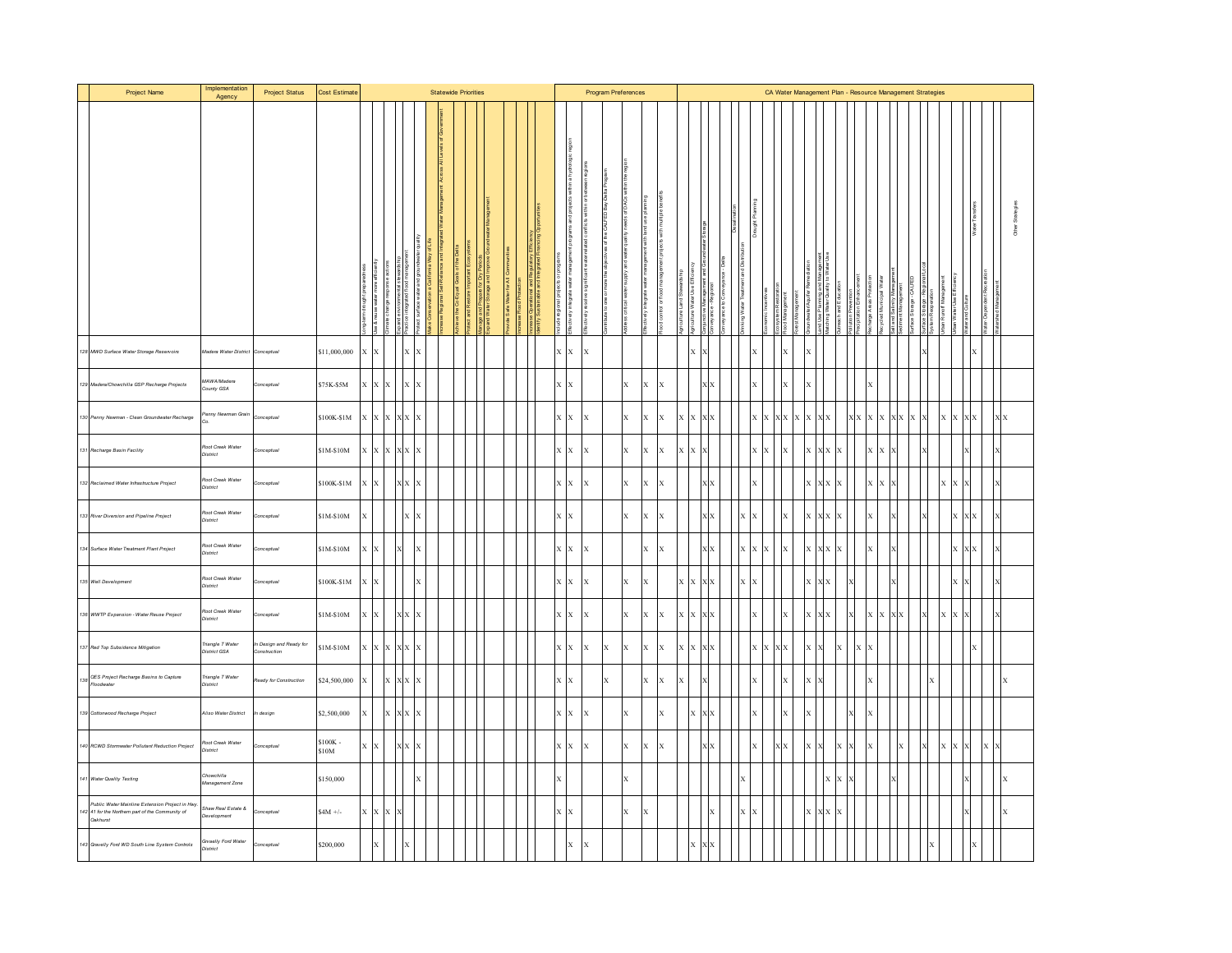| Project Name                                                                                                   | Implementation<br>Agency          | <b>Project Status</b>                  | <b>Cost Estimate</b> |                  |                                                                                                   |             | <b>Statewide Priorities</b> |  |  |                  |                                   |                                    |              | Program Preferences |              |   |    |                                   |              |     |          | CA Water Management Plan - Resource Management Strategies |              |                                                        |                                               |          |             |               |                |  |   |              |                                                        |              |                          |  |
|----------------------------------------------------------------------------------------------------------------|-----------------------------------|----------------------------------------|----------------------|------------------|---------------------------------------------------------------------------------------------------|-------------|-----------------------------|--|--|------------------|-----------------------------------|------------------------------------|--------------|---------------------|--------------|---|----|-----------------------------------|--------------|-----|----------|-----------------------------------------------------------|--------------|--------------------------------------------------------|-----------------------------------------------|----------|-------------|---------------|----------------|--|---|--------------|--------------------------------------------------------|--------------|--------------------------|--|
|                                                                                                                |                                   |                                        |                      |                  |                                                                                                   |             |                             |  |  | ntly Sustainable | lectively                         |                                    |              |                     |              |   |    |                                   |              |     |          |                                                           |              |                                                        |                                               |          | tation      |               |                |  |   |              | Vate                                                   |              |                          |  |
| 128 MWD Surface Water Storage Reservoirs                                                                       | Aadera Water District             | Conceptual                             | \$11,000,000         | $x \mathbf{x}$   |                                                                                                   | $X$ $X$     |                             |  |  |                  | $X$ $X$                           | $\mathbf{x}$                       |              |                     |              |   |    | <b>x</b>                          |              |     |          |                                                           | $\mathbf{x}$ |                                                        |                                               |          |             |               |                |  |   |              | $\mathbf{x}$                                           |              |                          |  |
| 129 Madera/Chowchilla GSP Recharge Projects                                                                    | MAWA/Madera<br>County GSA         | Conceptual                             | \$75K-\$5M           | $\mathbf x$<br>X |                                                                                                   |             |                             |  |  |                  | X X                               |                                    |              | X                   | X            |   |    |                                   |              |     |          |                                                           |              |                                                        |                                               |          |             |               |                |  |   |              |                                                        |              |                          |  |
| 130 Penny Newman - Clean Groundwater Recharge                                                                  | enny Newman Grain<br>à.           | Conceptual                             | \$100K-\$1M          |                  | $\mathbf{x} \quad \mathbf{x} \quad \mathbf{x} \quad \mathbf{x} \quad \mathbf{x} \quad \mathbf{x}$ |             |                             |  |  |                  | $X - X$                           | $\mathbf x$                        |              | $\mathbf{x}$        | $\mathbf{x}$ | X |    | $\mathbf{X} \parallel \mathbf{X}$ | X X          |     |          | $X$ $X$ $X$ $X$                                           |              | $\mathbf{X} \parallel \mathbf{X} \parallel \mathbf{X}$ |                                               |          |             | x x x x x x x |                |  | X |              | $\mathbf{X} \parallel \mathbf{X} \parallel \mathbf{X}$ |              | $\mathbf{X}\,\mathbf{X}$ |  |
| 131 Recharge Basin Facility                                                                                    | toot Creek Water<br>District      | Conceptual                             | \$1M-\$10M           |                  | x x x x x                                                                                         |             |                             |  |  |                  |                                   | $X - X - X$                        |              | $\mathbf{x}$        | $X = X$      |   |    | $X \mid X$                        |              |     | $X$ $X$  |                                                           | $\mathbf{x}$ |                                                        | x x x x                                       |          |             | X X           |                |  |   |              |                                                        |              |                          |  |
| 132 Reclaimed Water Infrastructure Project                                                                     | Roof Creek Water<br>District      | Conceptual                             | \$100K-\$1M          | $\mathbf x$<br>X | $X$ $X$                                                                                           |             |                             |  |  |                  | $X - X$                           | $\mathbf x$                        |              | $\mathbf{x}$        | $\mathbf{x}$ | X |    |                                   | 1x           |     |          |                                                           |              |                                                        | <b>x x x</b>                                  |          |             |               |                |  | X |              |                                                        |              |                          |  |
| 133 River Diversion and Pipeline Project                                                                       | Roof Creek Water<br>District      | Conceptual                             | \$1M-\$10M           | X                |                                                                                                   | x           |                             |  |  |                  | $\mathbf{X} \parallel \mathbf{X}$ |                                    |              | $\mathbf{x}$        | $\mathbf{x}$ | X |    |                                   | ¢Х           |     | x x      |                                                           | X            |                                                        | $\mathbf{x} \mathbf{x} \mathbf{x} \mathbf{x}$ |          |             |               |                |  |   |              | $X$ $X$                                                |              |                          |  |
| 134 Surface Water Treatment Plant Project                                                                      | Roof Creek Water<br>District      | Conceptual                             | \$1M-\$10M           | x x              |                                                                                                   | x           |                             |  |  |                  | $X$ $X$                           | <sup>x</sup>                       |              |                     | $X - X$      |   |    |                                   | xх           |     | x x x    |                                                           | $\mathbf{x}$ |                                                        | <b>x x x</b>                                  |          |             |               |                |  |   |              | $X$ $X$                                                |              |                          |  |
| 135 Well Development                                                                                           | Roof Creek Water<br>District      | Conceptual                             | \$100K-\$1M          | X<br>X           |                                                                                                   |             |                             |  |  |                  | X                                 | X                                  |              | $\mathbf{x}$        | X            |   |    | $\mathbf{x}\mid \mathbf{x}$       | ХX           | x > |          |                                                           |              | $\mathbf{x}$                                           | KХ                                            |          |             |               |                |  |   |              |                                                        |              |                          |  |
| 136 WWTP Expansion - Water Reuse Project                                                                       | Root Creek Water<br>District      | Conceptual                             | \$1M-\$10M           | x Ix             |                                                                                                   | $X$ $X$ $X$ |                             |  |  |                  |                                   | $X - X - X$                        |              | $\mathbf{x}$        | $X = X$      |   |    | $X$ $X$ $Y$                       | ¢Х           |     | <b>x</b> |                                                           | $\bf{x}$     | $X$ $X$                                                |                                               |          |             |               | <b>x x x x</b> |  | X | $\mathbf{x}$ |                                                        |              |                          |  |
| 137 Red Top Subsidence Mitigation                                                                              | Triangle T Water<br>District GSA  | In Design and Ready for<br>onstruction | \$1M-\$10M           |                  | x x x x x                                                                                         |             |                             |  |  |                  |                                   | $X - X - X$                        | $\mathbf{x}$ | $\mathbf{x}$        | $X = X$      |   |    |                                   | $x \times x$ |     |          | $X$ $X$ $X$                                               |              | $x \mathbf{x}$                                         |                                               | <b>X</b> | $\mathbf x$ |               |                |  |   |              | $\mathbf{x}$                                           |              |                          |  |
| 138<br>The OES Project Recharge Basins to Capture<br>Floodwater                                                | Triangle T Water<br>District      | Ready for Construction                 | \$24,500,000         | X                | $X$ $X$                                                                                           |             |                             |  |  |                  | $\mathbf{x}$                      |                                    | X            |                     | $X$ $X$      |   | X. |                                   |              |     |          |                                                           |              |                                                        |                                               |          |             |               |                |  |   |              |                                                        |              |                          |  |
| 139 Cottonwood Recharge Project                                                                                | Aliso Water District              | In design                              | \$2,500,000          | X                | $X$ $X$                                                                                           | $\bf{x}$    |                             |  |  |                  |                                   | $\mathbf{X}=\mathbf{X}=\mathbf{X}$ |              | $\mathbf{x}$        |              | X |    | IX.                               | X X          |     |          |                                                           | X            |                                                        |                                               |          |             |               |                |  |   |              |                                                        |              |                          |  |
| 140 RCWD Stormwater Pollutant Reduction Project                                                                | toot Creek Water<br>District      | Conceptual                             | \$100K-<br>\$10M     | $X$ $X$          | X X                                                                                               |             |                             |  |  |                  | $X$ $X$                           | $\mathbf{x}$                       |              | $\mathbf{x}$        | $\mathbf{x}$ | X |    |                                   | ¢Х           |     | <b>x</b> |                                                           | dх           | $\mathbf{x}$                                           |                                               |          |             |               |                |  | X | $x$ $\pm$    |                                                        | $\mathbf{x}$ |                          |  |
| 141 Water Quality Testing                                                                                      | howchilla<br>Management Zone      |                                        | \$150,000            |                  |                                                                                                   |             |                             |  |  |                  |                                   |                                    |              | X                   |              |   |    |                                   |              |     |          |                                                           |              |                                                        | X                                             |          |             |               |                |  |   |              |                                                        |              |                          |  |
| Public Water Mainline Extension Project in Hwy.<br>42 41 for the Northern part of the Community of<br>Oakhurst | Shaw Real Estate &<br>Development | Conceptual                             | $$4M +/-$            | x x x            | $\boldsymbol{\mathrm{x}}$                                                                         |             |                             |  |  |                  | $X - X$                           |                                    |              | $\mathbf{x}$        | X            |   |    |                                   | X            | X X |          |                                                           |              |                                                        | $X$ $X$ $X$                                   |          |             |               |                |  |   |              |                                                        |              | lx                       |  |
| 143 Gravelly Ford WD South Line System Controls                                                                | Grvaelly Ford Water<br>District   | Conceptual                             | \$200,000            | $\mathbf x$      |                                                                                                   |             |                             |  |  |                  | $\mathbf{x}$                      | $\mathbf x$                        |              |                     |              |   |    |                                   |              |     |          |                                                           |              |                                                        |                                               |          |             |               |                |  |   |              |                                                        |              |                          |  |